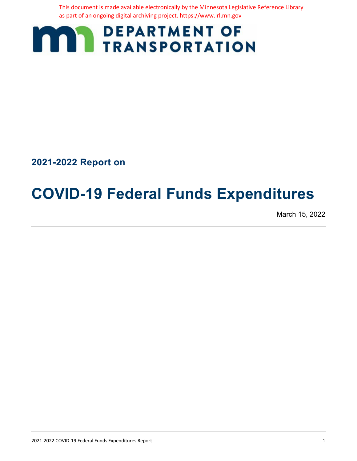This document is made available electronically by the Minnesota Legislative Reference Library as part of an ongoing digital archiving project. https://www.lrl.mn.gov



**2021-2022 Report on**

# **COVID-19 Federal Funds Expenditures**

March 15, 2022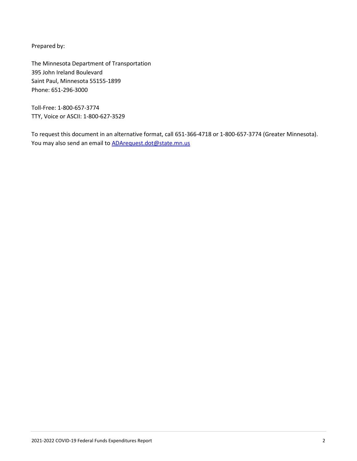Prepared by:

The Minnesota Department of Transportation 395 John Ireland Boulevard Saint Paul, Minnesota 55155-1899 Phone: 651-296-3000

Toll-Free: 1-800-657-3774 TTY, Voice or ASCII: 1-800-627-3529

To request this document in an alternative format, call 651-366-4718 or 1-800-657-3774 (Greater Minnesota). You may also send an email to **ADArequest.dot@state.mn.us**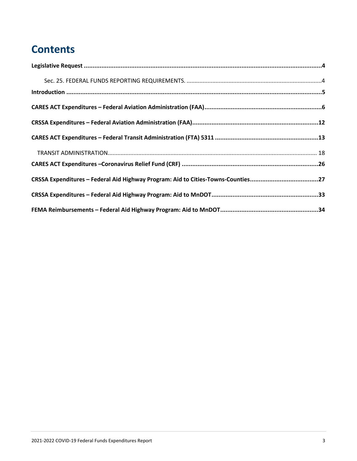## **Contents**

| CRSSA Expenditures - Federal Aid Highway Program: Aid to Cities-Towns-Counties27 |  |
|----------------------------------------------------------------------------------|--|
|                                                                                  |  |
|                                                                                  |  |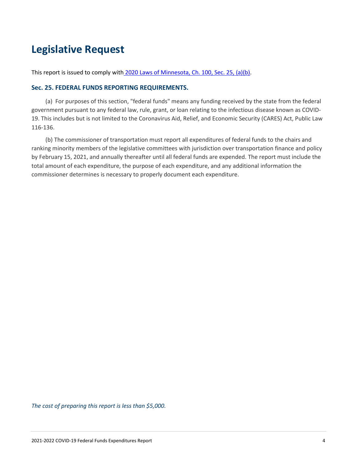### <span id="page-3-0"></span>**Legislative Request**

<span id="page-3-1"></span>This report is issued to comply with [2020 Laws of Minnesota, Ch. 100, Sec. 25, \(a\)\(b\).](https://www.revisor.mn.gov/laws/2020/0/Session+Law/Chapter/100/)

#### **Sec. 25. FEDERAL FUNDS REPORTING REQUIREMENTS.**

(a) For purposes of this section, "federal funds" means any funding received by the state from the federal government pursuant to any federal law, rule, grant, or loan relating to the infectious disease known as COVID-19. This includes but is not limited to the Coronavirus Aid, Relief, and Economic Security (CARES) Act, Public Law 116-136.

(b) The commissioner of transportation must report all expenditures of federal funds to the chairs and ranking minority members of the legislative committees with jurisdiction over transportation finance and policy by February 15, 2021, and annually thereafter until all federal funds are expended. The report must include the total amount of each expenditure, the purpose of each expenditure, and any additional information the commissioner determines is necessary to properly document each expenditure.

*The cost of preparing this report is less than \$5,000.*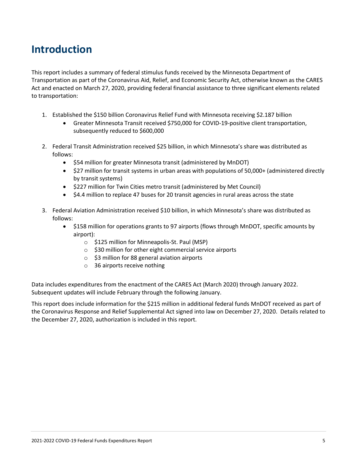### <span id="page-4-0"></span>**Introduction**

This report includes a summary of federal stimulus funds received by the Minnesota Department of Transportation as part of the Coronavirus Aid, Relief, and Economic Security Act, otherwise known as the CARES Act and enacted on March 27, 2020, providing federal financial assistance to three significant elements related to transportation:

- 1. Established the \$150 billion Coronavirus Relief Fund with Minnesota receiving \$2.187 billion
	- Greater Minnesota Transit received \$750,000 for COVID-19-positive client transportation, subsequently reduced to \$600,000
- 2. Federal Transit Administration received \$25 billion, in which Minnesota's share was distributed as follows:
	- \$54 million for greater Minnesota transit (administered by MnDOT)
	- \$27 million for transit systems in urban areas with populations of 50,000+ (administered directly by transit systems)
	- \$227 million for Twin Cities metro transit (administered by Met Council)
	- \$4.4 million to replace 47 buses for 20 transit agencies in rural areas across the state
- 3. Federal Aviation Administration received \$10 billion, in which Minnesota's share was distributed as follows:
	- \$158 million for operations grants to 97 airports (flows through MnDOT, specific amounts by airport):
		- o \$125 million for Minneapolis-St. Paul (MSP)
		- o \$30 million for other eight commercial service airports
		- $\circ$  \$3 million for 88 general aviation airports
		- o 36 airports receive nothing

Data includes expenditures from the enactment of the CARES Act (March 2020) through January 2022. Subsequent updates will include February through the following January.

This report does include information for the \$215 million in additional federal funds MnDOT received as part of the Coronavirus Response and Relief Supplemental Act signed into law on December 27, 2020. Details related to the December 27, 2020, authorization is included in this report.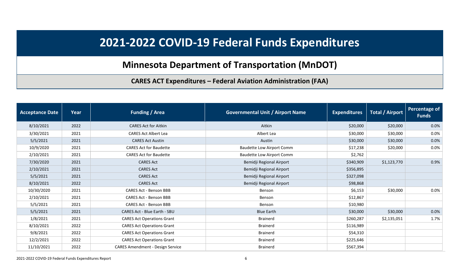### **Minnesota Department of Transportation (MnDOT)**

### **CARES ACT Expenditures – Federal Aviation Administration (FAA)**

<span id="page-5-0"></span>

| <b>Acceptance Date</b> | Year | <b>Funding / Area</b>                   | <b>Governmental Unit / Airport Name</b> | <b>Expenditures</b> | <b>Total / Airport</b> | <b>Percentage of</b><br><b>Funds</b> |
|------------------------|------|-----------------------------------------|-----------------------------------------|---------------------|------------------------|--------------------------------------|
| 8/10/2021              | 2022 | <b>CARES Act for Aitkin</b>             | Aitkin                                  | \$20,000            | \$20,000               | 0.0%                                 |
| 3/30/2021              | 2021 | <b>CARES Act Albert Lea</b>             | Albert Lea                              | \$30,000            | \$30,000               | 0.0%                                 |
| 5/5/2021               | 2021 | <b>CARES Act Austin</b>                 | Austin                                  | \$30,000            | \$30,000               | 0.0%                                 |
| 10/9/2020              | 2021 | <b>CARES Act for Baudette</b>           | <b>Baudette Low Airport Comm</b>        | \$17,238            | \$20,000               | 0.0%                                 |
| 2/10/2021              | 2021 | <b>CARES Act for Baudette</b>           | <b>Baudette Low Airport Comm</b>        | \$2,762             |                        |                                      |
| 7/30/2020              | 2021 | <b>CARES Act</b>                        | Bemidji Regional Airport                | \$340,909           | \$1,123,770            | 0.9%                                 |
| 2/10/2021              | 2021 | <b>CARES Act</b>                        | Bemidji Regional Airport                | \$356,895           |                        |                                      |
| 5/5/2021               | 2021 | <b>CARES Act</b>                        | Bemidji Regional Airport                | \$327,098           |                        |                                      |
| 8/10/2021              | 2022 | <b>CARES Act</b>                        | Bemidji Regional Airport                | \$98,868            |                        |                                      |
| 10/30/2020             | 2021 | <b>CARES Act - Benson BBB</b>           | Benson                                  | \$6,153             | \$30,000               | 0.0%                                 |
| 2/10/2021              | 2021 | <b>CARES Act - Benson BBB</b>           | Benson                                  | \$12,867            |                        |                                      |
| 5/5/2021               | 2021 | <b>CARES Act - Benson BBB</b>           | Benson                                  | \$10,980            |                        |                                      |
| 5/5/2021               | 2021 | <b>CARES Act - Blue Earth - SBU</b>     | <b>Blue Earth</b>                       | \$30,000            | \$30,000               | 0.0%                                 |
| 1/8/2021               | 2021 | <b>CARES Act Operations Grant</b>       | <b>Brainerd</b>                         | \$260,287           | \$2,135,051            | 1.7%                                 |
| 8/10/2021              | 2022 | <b>CARES Act Operations Grant</b>       | <b>Brainerd</b>                         | \$116,989           |                        |                                      |
| 9/8/2021               | 2022 | <b>CARES Act Operations Grant</b>       | <b>Brainerd</b>                         | \$54,310            |                        |                                      |
| 12/2/2021              | 2022 | <b>CARES Act Operations Grant</b>       | <b>Brainerd</b>                         | \$225,646           |                        |                                      |
| 11/10/2021             | 2022 | <b>CARES Amendment - Design Service</b> | <b>Brainerd</b>                         | \$567,394           |                        |                                      |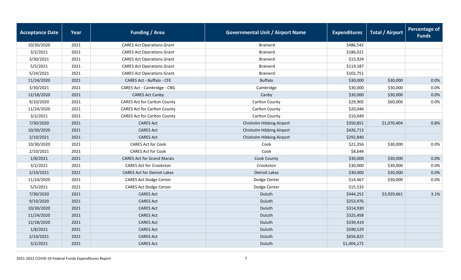| <b>Acceptance Date</b> | Year | <b>Funding / Area</b>               | <b>Governmental Unit / Airport Name</b> | <b>Expenditures</b> | <b>Total / Airport</b> | <b>Percentage of</b><br><b>Funds</b> |
|------------------------|------|-------------------------------------|-----------------------------------------|---------------------|------------------------|--------------------------------------|
| 10/30/2020             | 2021 | <b>CARES Act Operations Grant</b>   | <b>Brainerd</b>                         | \$486,542           |                        |                                      |
| 3/2/2021               | 2021 | <b>CARES Act Operations Grant</b>   | <b>Brainerd</b>                         | \$186,021           |                        |                                      |
| 3/30/2021              | 2021 | <b>CARES Act Operations Grant</b>   | <b>Brainerd</b>                         | \$15,924            |                        |                                      |
| 5/5/2021               | 2021 | <b>CARES Act Operations Grant</b>   | <b>Brainerd</b>                         | \$119,187           |                        |                                      |
| 5/24/2021              | 2021 | <b>CARES Act Operations Grant</b>   | <b>Brainerd</b>                         | \$102,751           |                        |                                      |
| 11/24/2020             | 2021 | <b>CARES Act - Buffalo - CFE</b>    | <b>Buffalo</b>                          | \$30,000            | \$30,000               | 0.0%                                 |
| 3/30/2021              | 2021 | CARES Act - Cambridge - CBG         | Cambridge                               | \$30,000            | \$30,000               | 0.0%                                 |
| 12/18/2020             | 2021 | <b>CARES Act Canby</b>              | Canby                                   | \$30,000            | \$30,000               | 0.0%                                 |
| 9/10/2020              | 2021 | <b>CARES Act for Carlton County</b> | Carlton County                          | \$29,905            | \$60,000               | 0.0%                                 |
| 11/24/2020             | 2021 | <b>CARES Act for Carlton County</b> | Carlton County                          | \$20,046            |                        |                                      |
| 3/2/2021               | 2021 | <b>CARES Act for Carlton County</b> | <b>Carlton County</b>                   | \$10,049            |                        |                                      |
| 7/30/2020              | 2021 | <b>CARES Act</b>                    | Chisholm Hibbing Airport                | \$350,851           | \$1,070,404            | 0.8%                                 |
| 10/30/2020             | 2021 | <b>CARES Act</b>                    | Chisholm Hibbing Airport                | \$426,713           |                        |                                      |
| 2/10/2021              | 2021 | <b>CARES Act</b>                    | Chisholm Hibbing Airport                | \$292,840           |                        |                                      |
| 10/30/2020             | 2021 | <b>CARES Act for Cook</b>           | Cook                                    | \$21,356            | \$30,000               | 0.0%                                 |
| 2/10/2021              | 2021 | <b>CARES Act for Cook</b>           | Cook                                    | \$8,644             |                        |                                      |
| 1/8/2021               | 2021 | <b>CARES Act for Grand Marais</b>   | Cook County                             | \$30,000            | \$30,000               | 0.0%                                 |
| 3/2/2021               | 2021 | <b>CARES Act for Crookston</b>      | Crookston                               | \$30,000            | \$30,000               | 0.0%                                 |
| 2/10/2021              | 2021 | <b>CARES Act for Detroit Lakes</b>  | <b>Detroit Lakes</b>                    | \$30,000            | \$30,000               | 0.0%                                 |
| 11/24/2020             | 2021 | <b>CARES Act Dodge Center</b>       | Dodge Center                            | \$14,467            | \$30,000               | 0.0%                                 |
| 5/5/2021               | 2021 | <b>CARES Act Dodge Center</b>       | Dodge Center                            | \$15,533            |                        |                                      |
| 7/30/2020              | 2021 | <b>CARES Act</b>                    | Duluth                                  | \$444,252           | \$3,929,661            | 3.1%                                 |
| 9/10/2020              | 2021 | <b>CARES Act</b>                    | Duluth                                  | \$253,976           |                        |                                      |
| 10/30/2020             | 2021 | <b>CARES Act</b>                    | Duluth                                  | \$314,930           |                        |                                      |
| 11/24/2020             | 2021 | <b>CARES Act</b>                    | Duluth                                  | \$325,458           |                        |                                      |
| 12/18/2020             | 2021 | <b>CARES Act</b>                    | Duluth                                  | \$339,419           |                        |                                      |
| 1/8/2021               | 2021 | <b>CARES Act</b>                    | Duluth                                  | \$590,529           |                        |                                      |
| 2/10/2021              | 2021 | <b>CARES Act</b>                    | Duluth                                  | \$656,825           |                        |                                      |
| 3/2/2021               | 2021 | <b>CARES Act</b>                    | Duluth                                  | \$1,004,272         |                        |                                      |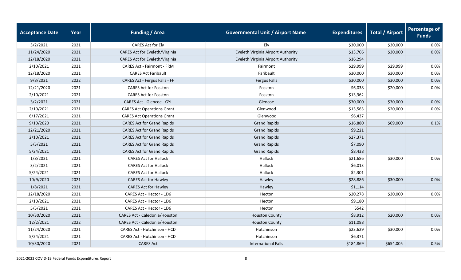| <b>Acceptance Date</b> | Year | <b>Funding / Area</b>             | <b>Governmental Unit / Airport Name</b> | <b>Expenditures</b> | <b>Total / Airport</b> | <b>Percentage of</b><br><b>Funds</b> |
|------------------------|------|-----------------------------------|-----------------------------------------|---------------------|------------------------|--------------------------------------|
| 3/2/2021               | 2021 | CARES Act for Ely                 | Ely                                     | \$30,000            | \$30,000               | 0.0%                                 |
| 11/24/2020             | 2021 | CARES Act for Eveleth/Virginia    | Eveleth Virginia Airport Authority      | \$13,706            | \$30,000               | 0.0%                                 |
| 12/18/2020             | 2021 | CARES Act for Eveleth/Virginia    | Eveleth Virginia Airport Authority      | \$16,294            |                        |                                      |
| 2/10/2021              | 2021 | <b>CARES Act - Fairmont - FRM</b> | Fairmont                                | \$29,999            | \$29,999               | 0.0%                                 |
| 12/18/2020             | 2021 | <b>CARES Act Faribault</b>        | Faribault                               | \$30,000            | \$30,000               | 0.0%                                 |
| 9/8/2021               | 2022 | CARES Act - Fergus Falls - FF     | <b>Fergus Falls</b>                     | \$30,000            | \$30,000               | 0.0%                                 |
| 12/21/2020             | 2021 | <b>CARES Act for Fosston</b>      | Fosston                                 | \$6,038             | \$20,000               | 0.0%                                 |
| 2/10/2021              | 2021 | <b>CARES Act for Fosston</b>      | Fosston                                 | \$13,962            |                        |                                      |
| 3/2/2021               | 2021 | CARES Act - Glencoe - GYL         | Glencoe                                 | \$30,000            | \$30,000               | 0.0%                                 |
| 2/10/2021              | 2021 | <b>CARES Act Operations Grant</b> | Glenwood                                | \$13,563            | \$20,000               | 0.0%                                 |
| 6/17/2021              | 2021 | <b>CARES Act Operations Grant</b> | Glenwood                                | \$6,437             |                        |                                      |
| 9/10/2020              | 2021 | <b>CARES Act for Grand Rapids</b> | <b>Grand Rapids</b>                     | \$16,880            | \$69,000               | 0.1%                                 |
| 12/21/2020             | 2021 | <b>CARES Act for Grand Rapids</b> | <b>Grand Rapids</b>                     | \$9,221             |                        |                                      |
| 2/10/2021              | 2021 | <b>CARES Act for Grand Rapids</b> | <b>Grand Rapids</b>                     | \$27,371            |                        |                                      |
| 5/5/2021               | 2021 | <b>CARES Act for Grand Rapids</b> | <b>Grand Rapids</b>                     | \$7,090             |                        |                                      |
| 5/24/2021              | 2021 | <b>CARES Act for Grand Rapids</b> | <b>Grand Rapids</b>                     | \$8,438             |                        |                                      |
| 1/8/2021               | 2021 | <b>CARES Act for Hallock</b>      | Hallock                                 | \$21,686            | \$30,000               | 0.0%                                 |
| 3/2/2021               | 2021 | <b>CARES Act for Hallock</b>      | Hallock                                 | \$6,013             |                        |                                      |
| 5/24/2021              | 2021 | <b>CARES Act for Hallock</b>      | Hallock                                 | \$2,301             |                        |                                      |
| 10/9/2020              | 2021 | <b>CARES Act for Hawley</b>       | Hawley                                  | \$28,886            | \$30,000               | 0.0%                                 |
| 1/8/2021               | 2021 | <b>CARES Act for Hawley</b>       | Hawley                                  | \$1,114             |                        |                                      |
| 12/18/2020             | 2021 | CARES Act - Hector - 1D6          | Hector                                  | \$20,278            | \$30,000               | 0.0%                                 |
| 2/10/2021              | 2021 | CARES Act - Hector - 1D6          | Hector                                  | \$9,180             |                        |                                      |
| 5/5/2021               | 2021 | CARES Act - Hector - 1D6          | Hector                                  | \$542               |                        |                                      |
| 10/30/2020             | 2021 | CARES Act - Caledonia/Houston     | <b>Houston County</b>                   | \$8,912             | \$20,000               | 0.0%                                 |
| 12/2/2021              | 2022 | CARES Act - Caledonia/Houston     | <b>Houston County</b>                   | \$11,088            |                        |                                      |
| 11/24/2020             | 2021 | CARES Act - Hutchinson - HCD      | Hutchinson                              | \$23,629            | \$30,000               | 0.0%                                 |
| 5/24/2021              | 2021 | CARES Act - Hutchinson - HCD      | Hutchinson                              | \$6,371             |                        |                                      |
| 10/30/2020             | 2021 | <b>CARES Act</b>                  | <b>International Falls</b>              | \$184,869           | \$654,005              | 0.5%                                 |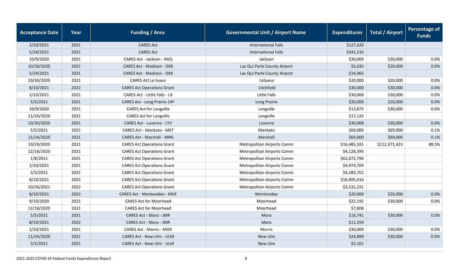| <b>Acceptance Date</b> | Year | <b>Funding / Area</b>                | <b>Governmental Unit / Airport Name</b> | <b>Expenditures</b> | <b>Total / Airport</b> | <b>Percentage of</b><br><b>Funds</b> |
|------------------------|------|--------------------------------------|-----------------------------------------|---------------------|------------------------|--------------------------------------|
| 2/10/2021              | 2021 | <b>CARES Act</b>                     | <b>International Falls</b>              | \$127,620           |                        |                                      |
| 5/24/2021              | 2021 | <b>CARES Act</b>                     | <b>International Falls</b>              | \$341,516           |                        |                                      |
| 10/9/2020              | 2021 | CARES Act - Jackson - MJQ            | Jackson                                 | \$30,000            | \$30,000               | 0.0%                                 |
| 10/30/2020             | 2021 | <b>CARES Act - Madison - DXX</b>     | Lac Qui Parle County Airport            | \$5,035             | \$20,000               | 0.0%                                 |
| 5/24/2021              | 2021 | <b>CARES Act - Madison - DXX</b>     | Lac Qui Parle County Airport            | \$14,965            |                        |                                      |
| 10/30/2020             | 2021 | <b>CARES Act Le Sueur</b>            | LeSueur                                 | \$20,000            | \$20,000               | 0.0%                                 |
| 8/10/2021              | 2022 | <b>CARES Act Operations Grant</b>    | Litchfield                              | \$30,000            | \$30,000               | 0.0%                                 |
| 2/10/2021              | 2021 | <b>CARES Act - Little Falls - LX</b> | <b>Little Falls</b>                     | \$30,000            | \$30,000               | 0.0%                                 |
| 5/5/2021               | 2021 | CARES Act - Long Prairie 14Y         | Long Prairie                            | \$20,000            | \$20,000               | 0.0%                                 |
| 10/9/2020              | 2021 | <b>CARES Act for Longville</b>       | Longville                               | \$12,875            | \$30,000               | 0.0%                                 |
| 11/24/2020             | 2021 | <b>CARES Act for Longville</b>       | Longville                               | \$17,125            |                        |                                      |
| 10/30/2020             | 2021 | CARES Act - Luverne - LYV            | Luverne                                 | \$30,000            | \$30,000               | 0.0%                                 |
| 5/5/2021               | 2021 | CARES Act - Mankato - MKT            | Mankato                                 | \$69,000            | \$69,000               | 0.1%                                 |
| 11/24/2020             | 2021 | CARES Act - Marshall - MML           | Marshall                                | \$69,000            | \$69,000               | 0.1%                                 |
| 10/29/2020             | 2021 | <b>CARES Act Operations Grant</b>    | Metropolitan Airports Comm              | \$16,485,581        | \$112,371,423          | 88.5%                                |
| 12/18/2020             | 2021 | <b>CARES Act Operations Grant</b>    | Metropolitan Airports Comm              | \$4,128,395         |                        |                                      |
| 1/8/2021               | 2021 | <b>CARES Act Operations Grant</b>    | Metropolitan Airports Comm              | \$62,072,790        |                        |                                      |
| 2/10/2021              | 2021 | <b>CARES Act Operations Grant</b>    | Metropolitan Airports Comm              | \$4,974,709         |                        |                                      |
| 5/5/2021               | 2021 | <b>CARES Act Operations Grant</b>    | Metropolitan Airports Comm              | \$4,283,701         |                        |                                      |
| 8/10/2021              | 2022 | <b>CARES Act Operations Grant</b>    | Metropolitan Airports Comm              | \$16,895,016        |                        |                                      |
| 10/26/2021             | 2022 | <b>CARES Act Operations Grant</b>    | Metropolitan Airports Comm              | \$3,531,231         |                        |                                      |
| 8/10/2021              | 2022 | <b>CARES Act - Montevideo - MVE</b>  | Montevideo                              | \$20,000            | \$20,000               | 0.0%                                 |
| 9/10/2020              | 2021 | <b>CARES Act for Moorhead</b>        | Moorhead                                | \$22,192            | \$30,000               | 0.0%                                 |
| 12/18/2020             | 2021 | <b>CARES Act for Moorhead</b>        | Moorhead                                | \$7,808             |                        |                                      |
| 5/5/2021               | 2021 | CARES Act - Mora - JMR               | Mora                                    | \$18,741            | \$30,000               | 0.0%                                 |
| 8/10/2021              | 2022 | CARES Act - Mora - JMR               | Mora                                    | \$11,259            |                        |                                      |
| 2/10/2021              | 2021 | <b>CARES Act - Morris - MOX</b>      | <b>Morris</b>                           | \$30,000            | \$30,000               | 0.0%                                 |
| 11/24/2020             | 2021 | CARES Act - New Ulm - ULM            | New Ulm                                 | \$24,899            | \$30,000               | 0.0%                                 |
| 5/5/2021               | 2021 | CARES Act - New Ulm - ULM            | New Ulm                                 | \$5,101             |                        |                                      |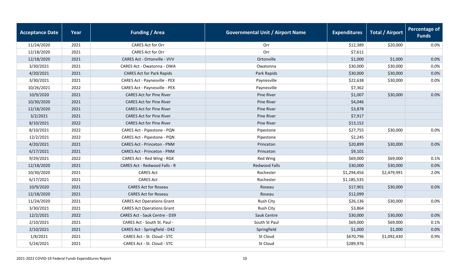| <b>Acceptance Date</b> | Year | <b>Funding / Area</b>                | <b>Governmental Unit / Airport Name</b> | <b>Expenditures</b> | <b>Total / Airport</b> | <b>Percentage of</b><br><b>Funds</b> |
|------------------------|------|--------------------------------------|-----------------------------------------|---------------------|------------------------|--------------------------------------|
| 11/24/2020             | 2021 | CARES Act for Orr                    | Orr                                     | \$12,389            | \$20,000               | 0.0%                                 |
| 12/18/2020             | 2021 | <b>CARES Act for Orr</b>             | Orr                                     | \$7,611             |                        |                                      |
| 12/18/2020             | 2021 | CARES Act - Ortonville - VVV         | Ortonville                              | \$1,000             | \$1,000                | 0.0%                                 |
| 3/30/2021              | 2021 | CARES Act - Owatonna - OWA           | Owatonna                                | \$30,000            | \$30,000               | 0.0%                                 |
| 4/20/2021              | 2021 | <b>CARES Act for Park Rapids</b>     | Park Rapids                             | \$30,000            | \$30,000               | 0.0%                                 |
| 3/30/2021              | 2021 | CARES Act - Paynesville - PEX        | Paynesville                             | \$22,638            | \$30,000               | 0.0%                                 |
| 10/26/2021             | 2022 | CARES Act - Paynesville - PEX        | Paynesville                             | \$7,362             |                        |                                      |
| 10/9/2020              | 2021 | <b>CARES Act for Pine River</b>      | Pine River                              | \$1,007             | \$30,000               | 0.0%                                 |
| 10/30/2020             | 2021 | <b>CARES Act for Pine River</b>      | Pine River                              | \$4,046             |                        |                                      |
| 12/18/2020             | 2021 | <b>CARES Act for Pine River</b>      | Pine River                              | \$3,878             |                        |                                      |
| 3/2/2021               | 2021 | <b>CARES Act for Pine River</b>      | Pine River                              | \$7,917             |                        |                                      |
| 8/10/2021              | 2022 | <b>CARES Act for Pine River</b>      | Pine River                              | \$13,152            |                        |                                      |
| 8/10/2021              | 2022 | CARES Act - Pipestone - PQN          | Pipestone                               | \$27,755            | \$30,000               | 0.0%                                 |
| 12/2/2021              | 2022 | CARES Act - Pipestone - PQN          | Pipestone                               | \$2,245             |                        |                                      |
| 4/20/2021              | 2021 | <b>CARES Act - Princeton - PNM</b>   | Princeton                               | \$20,899            | \$30,000               | 0.0%                                 |
| 6/17/2021              | 2021 | <b>CARES Act - Princeton - PNM</b>   | Princeton                               | \$9,101             |                        |                                      |
| 9/29/2021              | 2022 | CARES Act - Red Wing - RGK           | Red Wing                                | \$69,000            | \$69,000               | 0.1%                                 |
| 12/18/2020             | 2021 | CARES Act - Redwood Falls - R        | <b>Redwood Falls</b>                    | \$30,000            | \$30,000               | 0.0%                                 |
| 10/30/2020             | 2021 | <b>CARES Act</b>                     | Rochester                               | \$1,294,456         | \$2,479,991            | 2.0%                                 |
| 6/17/2021              | 2021 | <b>CARES Act</b>                     | Rochester                               | \$1,185,535         |                        |                                      |
| 10/9/2020              | 2021 | <b>CARES Act for Roseau</b>          | Roseau                                  | \$17,901            | \$30,000               | 0.0%                                 |
| 12/18/2020             | 2021 | <b>CARES Act for Roseau</b>          | Roseau                                  | \$12,099            |                        |                                      |
| 11/24/2020             | 2021 | <b>CARES Act Operations Grant</b>    | <b>Rush City</b>                        | \$26,136            | \$30,000               | 0.0%                                 |
| 3/30/2021              | 2021 | <b>CARES Act Operations Grant</b>    | Rush City                               | \$3,864             |                        |                                      |
| 12/2/2021              | 2022 | <b>CARES Act - Sauk Centre - D39</b> | Sauk Centre                             | \$30,000            | \$30,000               | 0.0%                                 |
| 2/10/2021              | 2021 | CARES Act - South St. Paul -         | South St Paul                           | \$69,000            | \$69,000               | 0.1%                                 |
| 2/10/2021              | 2021 | CARES Act - Springfield - D42        | Springfield                             | \$1,000             | \$1,000                | 0.0%                                 |
| 1/8/2021               | 2021 | CARES Act - St. Cloud - STC          | St Cloud                                | \$670,796           | \$1,092,430            | 0.9%                                 |
| 5/24/2021              | 2021 | CARES Act - St. Cloud - STC          | St Cloud                                | \$289,976           |                        |                                      |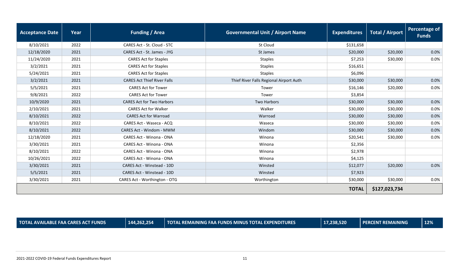| <b>Acceptance Date</b> | Year | <b>Funding / Area</b>                                                                     | <b>Governmental Unit / Airport Name</b> | <b>Expenditures</b> | <b>Total / Airport</b> | Percentage of<br><b>Funds</b> |
|------------------------|------|-------------------------------------------------------------------------------------------|-----------------------------------------|---------------------|------------------------|-------------------------------|
| 8/10/2021              | 2022 | CARES Act - St. Cloud - STC                                                               | St Cloud                                | \$131,658           |                        |                               |
| 12/18/2020             | 2021 | CARES Act - St. James - JYG                                                               | St James                                | \$20,000            | \$20,000               | 0.0%                          |
| 11/24/2020             | 2021 | <b>CARES Act for Staples</b>                                                              | <b>Staples</b>                          | \$7,253             | \$30,000               | 0.0%                          |
| 3/2/2021               | 2021 | <b>CARES Act for Staples</b>                                                              | <b>Staples</b>                          | \$16,651            |                        |                               |
| 5/24/2021              | 2021 | <b>CARES Act for Staples</b>                                                              | <b>Staples</b>                          | \$6,096             |                        |                               |
| 3/2/2021               | 2021 | Thief River Falls Regional Airport Auth<br><b>CARES Act Thief River Falls</b><br>\$30,000 |                                         | \$30,000            | 0.0%                   |                               |
| 5/5/2021               | 2021 | <b>CARES Act for Tower</b>                                                                | Tower                                   | \$16,146            | \$20,000               | $0.0\%$                       |
| 9/8/2021               | 2022 | <b>CARES Act for Tower</b>                                                                | Tower                                   | \$3,854             |                        |                               |
| 10/9/2020              | 2021 | <b>CARES Act for Two Harbors</b>                                                          | <b>Two Harbors</b>                      | \$30,000            | \$30,000               | 0.0%                          |
| 2/10/2021              | 2021 | <b>CARES Act for Walker</b>                                                               | Walker                                  | \$30,000            | \$30,000               | 0.0%                          |
| 8/10/2021              | 2022 | <b>CARES Act for Warroad</b>                                                              | Warroad                                 | \$30,000            | \$30,000               | 0.0%                          |
| 8/10/2021              | 2022 | CARES Act - Waseca - ACQ                                                                  | Waseca                                  | \$30,000            | \$30,000               | 0.0%                          |
| 8/10/2021              | 2022 | <b>CARES Act - Windom - MWM</b>                                                           | Windom                                  | \$30,000            | \$30,000               | 0.0%                          |
| 12/18/2020             | 2021 | CARES Act - Winona - ONA                                                                  | Winona                                  | \$20,541            | \$30,000               | 0.0%                          |
| 3/30/2021              | 2021 | <b>CARES Act - Winona - ONA</b>                                                           | Winona                                  | \$2,356             |                        |                               |
| 8/10/2021              | 2022 | CARES Act - Winona - ONA                                                                  | Winona                                  | \$2,978             |                        |                               |
| 10/26/2021             | 2022 | <b>CARES Act - Winona - ONA</b>                                                           | Winona                                  | \$4,125             |                        |                               |
| 3/30/2021              | 2021 | CARES Act - Winstead - 10D                                                                | Winsted                                 | \$12,077            | \$20,000               | 0.0%                          |
| 5/5/2021               | 2021 | CARES Act - Winstead - 10D                                                                | Winsted                                 | \$7,923             |                        |                               |
| 3/30/2021              | 2021 | CARES Act - Worthington - OTG                                                             | Worthington                             | \$30,000            | \$30,000               | 0.0%                          |
|                        |      |                                                                                           |                                         | <b>TOTAL</b>        | \$127,023,734          |                               |

**TOTAL AVAILABLE FAA CARES ACT FUNDS 144,262,254 TOTAL REMAINING FAA FUNDS MINUS TOTAL EXPENDITURES 17,238,520 PERCENT REMAINING 12%**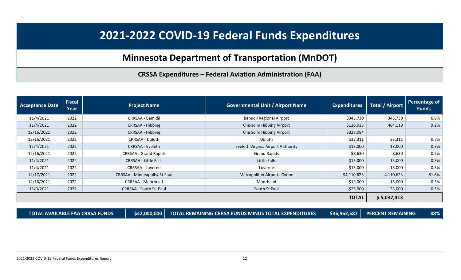### **Minnesota Department of Transportation (MnDOT)**

**CRSSA Expenditures – Federal Aviation Administration (FAA)**

<span id="page-11-0"></span>

| <b>Acceptance Date</b> | <b>Fiscal</b><br>Year | <b>Project Name</b>           | <b>Governmental Unit / Airport Name</b> | <b>Expenditures</b> | <b>Total / Airport</b> | Percentage of<br><b>Funds</b> |
|------------------------|-----------------------|-------------------------------|-----------------------------------------|---------------------|------------------------|-------------------------------|
| 11/4/2021              | 2022                  | CRRSAA - Bemidji              | Bemidji Regional Airport                | \$345,730           | 345,730                | 6.9%                          |
| 11/4/2021              | 2022                  | CRRSAA - Hibbing              | Chisholm Hibbing Airport                | \$136,035           | 464,119                | 9.2%                          |
| 12/16/2021             | 2022                  | CRRSAA - Hibbing              | Chisholm Hibbing Airport                | \$328,084           |                        |                               |
| 12/16/2021             | 2022                  | CRRSAA - Duluth               | Duluth                                  | \$33,311            | 33,311                 | 0.7%                          |
| 11/4/2021              | 2022                  | CRRSAA - Eveleth              | Eveleth Virginia Airport Authority      | \$13,000            | 13,000                 | 0.3%                          |
| 12/16/2021             | 2022                  | CRRSAA - Grand Rapids         | <b>Grand Rapids</b>                     | \$8,630             | 8,630                  | 0.2%                          |
| 11/4/2021              | 2022                  | <b>CRRSAA - Little Falls</b>  | Little Falls                            | \$13,000            | 13,000                 | 0.3%                          |
| 11/4/2021              | 2022                  | <b>CRRSAA - Luverne</b>       | Luverne                                 | \$13,000            | 13,000                 | 0.3%                          |
| 12/17/2021             | 2022                  | CRRSAA - Minneapolis/ St Paul | Metropolitan Airports Comm              | \$4,110,623         | 4,110,623              | 81.6%                         |
| 12/16/2021             | 2022                  | CRRSAA - Moorhead             | Moorhead                                | \$13,000            | 13,000                 | 0.3%                          |
| 11/9/2021              | 2022                  | CRRSAA - South St. Paul       | South St Paul                           | \$23,000            | 23,000                 | 0.5%                          |
|                        |                       |                               |                                         | <b>TOTAL</b>        | \$5,037,413            |                               |

**TOTAL AVAILABLE FAA CRRSA FUNDS \$42,000,000 TOTAL REMAINING CRRSA FUNDS MINUS TOTAL EXPENDITURES \$36,962,587 PERCENT REMAINING 88%**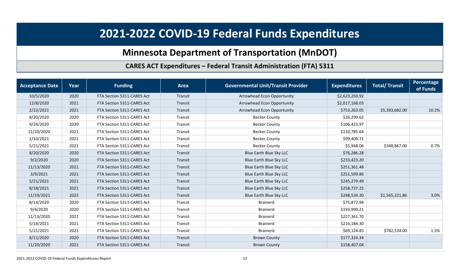## **Minnesota Department of Transportation (MnDOT)**

#### **CARES ACT Expenditures – Federal Transit Administration (FTA) 5311**

<span id="page-12-0"></span>

| <b>Acceptance Date</b> | Year | <b>Funding</b>             | <b>Area</b> | <b>Governmental Unit/Transit Provider</b> | <b>Expenditures</b> | <b>Total/ Transit</b> | Percentage<br>of Funds |
|------------------------|------|----------------------------|-------------|-------------------------------------------|---------------------|-----------------------|------------------------|
| 10/5/2020              | 2020 | FTA Section 5311-CARES Act | Transit     | Arrowhead Econ Opportunity                | \$2,623,250.92      |                       |                        |
| 12/8/2020              | 2021 | FTA Section 5311-CARES Act | Transit     | Arrowhead Econ Opportunity                | \$2,017,168.03      |                       |                        |
| 2/22/2021              | 2021 | FTA Section 5311-CARES Act | Transit     | Arrowhead Econ Opportunity                | \$753,263.05        | \$5,393,682.00        | 10.2%                  |
| 8/20/2020              | 2020 | FTA Section 5311-CARES Act | Transit     | <b>Becker County</b>                      | \$26,299.62         |                       |                        |
| 9/24/2020              | 2020 | FTA Section 5311-CARES Act | Transit     | <b>Becker County</b>                      | \$106,423.97        |                       |                        |
| 11/10/2020             | 2021 | FTA Section 5311-CARES Act | Transit     | <b>Becker County</b>                      | \$110,785.64        |                       |                        |
| 2/10/2021              | 2021 | FTA Section 5311-CARES Act | Transit     | <b>Becker County</b>                      | \$99,409.71         |                       |                        |
| 5/21/2021              | 2021 | FTA Section 5311-CARES Act | Transit     | <b>Becker County</b>                      | \$5,948.06          | \$348,867.00          | 0.7%                   |
| 8/20/2020              | 2020 | FTA Section 5311-CARES Act | Transit     | Blue Earth Blue Sky LLC                   | \$76,286.28         |                       |                        |
| 9/2/2020               | 2020 | FTA Section 5311-CARES Act | Transit     | Blue Earth Blue Sky LLC                   | \$233,423.20        |                       |                        |
| 11/13/2020             | 2021 | FTA Section 5311-CARES Act | Transit     | Blue Earth Blue Sky LLC                   | \$251,361.48        |                       |                        |
| 3/9/2021               | 2021 | FTA Section 5311-CARES Act | Transit     | Blue Earth Blue Sky LLC                   | \$251,599.86        |                       |                        |
| 5/21/2021              | 2021 | FTA Section 5311-CARES Act | Transit     | Blue Earth Blue Sky LLC                   | \$245,279.49        |                       |                        |
| 8/18/2021              | 2021 | FTA Section 5311-CARES Act | Transit     | Blue Earth Blue Sky LLC                   | \$258,737.25        |                       |                        |
| 11/19/2021             | 2022 | FTA Section 5311-CARES Act | Transit     | Blue Earth Blue Sky LLC                   | \$248,534.30        | \$1,565,221.86        | 3.0%                   |
| 8/14/2020              | 2020 | FTA Section 5311-CARES Act | Transit     | <b>Brainerd</b>                           | \$75,872.94         |                       |                        |
| 9/4/2020               | 2020 | FTA Section 5311-CARES Act | Transit     | <b>Brainerd</b>                           | \$193,990.21        |                       |                        |
| 11/13/2020             | 2021 | FTA Section 5311-CARES Act | Transit     | <b>Brainerd</b>                           | \$227,361.70        |                       |                        |
| 5/18/2021              | 2021 | FTA Section 5311-CARES Act | Transit     | <b>Brainerd</b>                           | \$216,184.30        |                       |                        |
| 5/21/2021              | 2021 | FTA Section 5311-CARES Act | Transit     | <b>Brainerd</b>                           | \$69,124.85         | \$782,534.00          | 1.5%                   |
| 8/11/2020              | 2020 | FTA Section 5311-CARES Act | Transit     | <b>Brown County</b>                       | \$177,324.34        |                       |                        |
| 11/20/2020             | 2021 | FTA Section 5311-CARES Act | Transit     | <b>Brown County</b>                       | \$158,407.04        |                       |                        |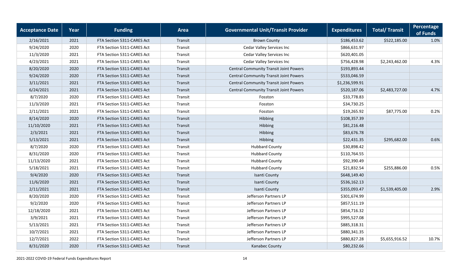| <b>Acceptance Date</b> | Year | <b>Funding</b>             | <b>Area</b> | <b>Governmental Unit/Transit Provider</b>     | <b>Expenditures</b> | <b>Total/ Transit</b> | <b>Percentage</b><br>of Funds |
|------------------------|------|----------------------------|-------------|-----------------------------------------------|---------------------|-----------------------|-------------------------------|
| 2/16/2021              | 2021 | FTA Section 5311-CARES Act | Transit     | <b>Brown County</b>                           | \$186,453.62        | \$522,185.00          | 1.0%                          |
| 9/24/2020              | 2020 | FTA Section 5311-CARES Act | Transit     | Cedar Valley Services Inc                     | \$866,631.97        |                       |                               |
| 11/3/2020              | 2021 | FTA Section 5311-CARES Act | Transit     | Cedar Valley Services Inc                     | \$620,401.05        |                       |                               |
| 4/23/2021              | 2021 | FTA Section 5311-CARES Act | Transit     | Cedar Valley Services Inc                     | \$756,428.98        | \$2,243,462.00        | 4.3%                          |
| 8/20/2020              | 2020 | FTA Section 5311-CARES Act | Transit     | <b>Central Community Transit Joint Powers</b> | \$193,893.44        |                       |                               |
| 9/24/2020              | 2020 | FTA Section 5311-CARES Act | Transit     | <b>Central Community Transit Joint Powers</b> | \$533,046.59        |                       |                               |
| 3/11/2021              | 2021 | FTA Section 5311-CARES Act | Transit     | <b>Central Community Transit Joint Powers</b> | \$1,236,599.91      |                       |                               |
| 6/24/2021              | 2021 | FTA Section 5311-CARES Act | Transit     | <b>Central Community Transit Joint Powers</b> | \$520,187.06        | \$2,483,727.00        | 4.7%                          |
| 8/7/2020               | 2020 | FTA Section 5311-CARES Act | Transit     | Fosston                                       | \$33,778.83         |                       |                               |
| 11/3/2020              | 2021 | FTA Section 5311-CARES Act | Transit     | Fosston                                       | \$34,730.25         |                       |                               |
| 2/11/2021              | 2021 | FTA Section 5311-CARES Act | Transit     | Fosston                                       | \$19,265.92         | \$87,775.00           | 0.2%                          |
| 8/14/2020              | 2020 | FTA Section 5311-CARES Act | Transit     | Hibbing                                       | \$108,357.39        |                       |                               |
| 11/10/2020             | 2021 | FTA Section 5311-CARES Act | Transit     | Hibbing                                       | \$81,216.48         |                       |                               |
| 2/3/2021               | 2021 | FTA Section 5311-CARES Act | Transit     | Hibbing                                       | \$83,676.78         |                       |                               |
| 5/13/2021              | 2021 | FTA Section 5311-CARES Act | Transit     | Hibbing                                       | \$22,431.35         | \$295,682.00          | 0.6%                          |
| 8/7/2020               | 2020 | FTA Section 5311-CARES Act | Transit     | <b>Hubbard County</b>                         | \$30,898.42         |                       |                               |
| 8/31/2020              | 2020 | FTA Section 5311-CARES Act | Transit     | <b>Hubbard County</b>                         | \$110,764.55        |                       |                               |
| 11/13/2020             | 2021 | FTA Section 5311-CARES Act | Transit     | <b>Hubbard County</b>                         | \$92,390.49         |                       |                               |
| 5/18/2021              | 2021 | FTA Section 5311-CARES Act | Transit     | <b>Hubbard County</b>                         | \$21,832.54         | \$255,886.00          | 0.5%                          |
| 9/4/2020               | 2020 | FTA Section 5311-CARES Act | Transit     | Isanti County                                 | \$648,149.40        |                       |                               |
| 11/6/2020              | 2021 | FTA Section 5311-CARES Act | Transit     | Isanti County                                 | \$536,162.13        |                       |                               |
| 2/11/2021              | 2021 | FTA Section 5311-CARES Act | Transit     | Isanti County                                 | \$355,093.47        | \$1,539,405.00        | 2.9%                          |
| 8/20/2020              | 2020 | FTA Section 5311-CARES Act | Transit     | Jefferson Partners LP                         | \$301,674.99        |                       |                               |
| 9/2/2020               | 2020 | FTA Section 5311-CARES Act | Transit     | Jefferson Partners LP                         | \$857,511.19        |                       |                               |
| 12/18/2020             | 2021 | FTA Section 5311-CARES Act | Transit     | Jefferson Partners LP                         | \$854,716.32        |                       |                               |
| 3/9/2021               | 2021 | FTA Section 5311-CARES Act | Transit     | Jefferson Partners LP                         | \$995,527.08        |                       |                               |
| 5/13/2021              | 2021 | FTA Section 5311-CARES Act | Transit     | Jefferson Partners LP                         | \$885,318.31        |                       |                               |
| 10/7/2021              | 2021 | FTA Section 5311-CARES Act | Transit     | Jefferson Partners LP                         | \$880,341.35        |                       |                               |
| 12/7/2021              | 2022 | FTA Section 5311-CARES Act | Transit     | Jefferson Partners LP                         | \$880,827.28        | \$5,655,916.52        | 10.7%                         |
| 8/31/2020              | 2020 | FTA Section 5311-CARES Act | Transit     | Kanabec County                                | \$80,232.66         |                       |                               |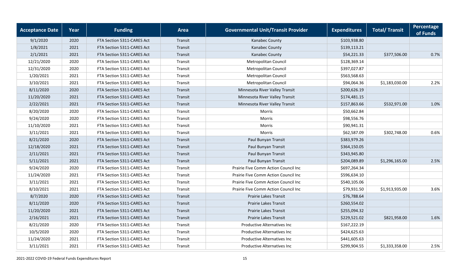| <b>Acceptance Date</b> | Year | <b>Funding</b>             | <b>Area</b> | <b>Governmental Unit/Transit Provider</b> | <b>Expenditures</b> | <b>Total/ Transit</b> | Percentage<br>of Funds |
|------------------------|------|----------------------------|-------------|-------------------------------------------|---------------------|-----------------------|------------------------|
| 9/1/2020               | 2020 | FTA Section 5311-CARES Act | Transit     | Kanabec County                            | \$103,938.80        |                       |                        |
| 1/8/2021               | 2021 | FTA Section 5311-CARES Act | Transit     | Kanabec County                            | \$139,113.21        |                       |                        |
| 2/1/2021               | 2021 | FTA Section 5311-CARES Act | Transit     | Kanabec County                            | \$54,221.33         | \$377,506.00          | 0.7%                   |
| 12/21/2020             | 2020 | FTA Section 5311-CARES Act | Transit     | Metropolitan Council                      | \$128,369.14        |                       |                        |
| 12/31/2020             | 2020 | FTA Section 5311-CARES Act | Transit     | Metropolitan Council                      | \$397,027.87        |                       |                        |
| 1/20/2021              | 2021 | FTA Section 5311-CARES Act | Transit     | Metropolitan Council                      | \$563,568.63        |                       |                        |
| 3/10/2021              | 2021 | FTA Section 5311-CARES Act | Transit     | Metropolitan Council                      | \$94,064.36         | \$1,183,030.00        | 2.2%                   |
| 8/11/2020              | 2020 | FTA Section 5311-CARES Act | Transit     | Minnesota River Valley Transit            | \$200,626.19        |                       |                        |
| 11/20/2020             | 2021 | FTA Section 5311-CARES Act | Transit     | Minnesota River Valley Transit            | \$174,481.15        |                       |                        |
| 2/22/2021              | 2021 | FTA Section 5311-CARES Act | Transit     | Minnesota River Valley Transit            | \$157,863.66        | \$532,971.00          | 1.0%                   |
| 8/20/2020              | 2020 | FTA Section 5311-CARES Act | Transit     | <b>Morris</b>                             | \$50,662.84         |                       |                        |
| 9/24/2020              | 2020 | FTA Section 5311-CARES Act | Transit     | Morris                                    | \$98,556.76         |                       |                        |
| 11/10/2020             | 2021 | FTA Section 5311-CARES Act | Transit     | Morris                                    | \$90,941.31         |                       |                        |
| 3/11/2021              | 2021 | FTA Section 5311-CARES Act | Transit     | <b>Morris</b>                             | \$62,587.09         | \$302,748.00          | 0.6%                   |
| 8/21/2020              | 2020 | FTA Section 5311-CARES Act | Transit     | Paul Bunyan Transit                       | \$383,979.26        |                       |                        |
| 12/18/2020             | 2021 | FTA Section 5311-CARES Act | Transit     | Paul Bunyan Transit                       | \$364,150.05        |                       |                        |
| 2/11/2021              | 2021 | FTA Section 5311-CARES Act | Transit     | Paul Bunyan Transit                       | \$343,945.80        |                       |                        |
| 5/11/2021              | 2021 | FTA Section 5311-CARES Act | Transit     | Paul Bunyan Transit                       | \$204,089.89        | \$1,296,165.00        | 2.5%                   |
| 9/24/2020              | 2020 | FTA Section 5311-CARES Act | Transit     | Prairie Five Comm Action Council Inc      | \$697,264.34        |                       |                        |
| 11/24/2020             | 2021 | FTA Section 5311-CARES Act | Transit     | Prairie Five Comm Action Council Inc      | \$596,634.10        |                       |                        |
| 3/11/2021              | 2021 | FTA Section 5311-CARES Act | Transit     | Prairie Five Comm Action Council Inc      | \$540,105.06        |                       |                        |
| 8/10/2021              | 2021 | FTA Section 5311-CARES Act | Transit     | Prairie Five Comm Action Council Inc      | \$79,931.50         | \$1,913,935.00        | 3.6%                   |
| 8/7/2020               | 2020 | FTA Section 5311-CARES Act | Transit     | Prairie Lakes Transit                     | \$76,788.64         |                       |                        |
| 8/11/2020              | 2020 | FTA Section 5311-CARES Act | Transit     | <b>Prairie Lakes Transit</b>              | \$260,554.02        |                       |                        |
| 11/20/2020             | 2021 | FTA Section 5311-CARES Act | Transit     | Prairie Lakes Transit                     | \$255,094.32        |                       |                        |
| 2/16/2021              | 2021 | FTA Section 5311-CARES Act | Transit     | Prairie Lakes Transit                     | \$229,521.02        | \$821,958.00          | 1.6%                   |
| 8/21/2020              | 2020 | FTA Section 5311-CARES Act | Transit     | <b>Productive Alternatives Inc</b>        | \$167,222.19        |                       |                        |
| 10/5/2020              | 2020 | FTA Section 5311-CARES Act | Transit     | <b>Productive Alternatives Inc</b>        | \$424,625.63        |                       |                        |
| 11/24/2020             | 2021 | FTA Section 5311-CARES Act | Transit     | <b>Productive Alternatives Inc</b>        | \$441,605.63        |                       |                        |
| 3/11/2021              | 2021 | FTA Section 5311-CARES Act | Transit     | <b>Productive Alternatives Inc</b>        | \$299,904.55        | \$1,333,358.00        | 2.5%                   |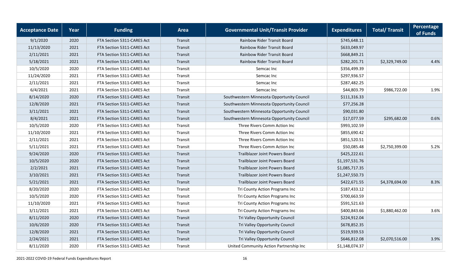| <b>Acceptance Date</b> | Year | <b>Funding</b>             | <b>Area</b> | <b>Governmental Unit/Transit Provider</b>  | <b>Expenditures</b> | <b>Total/ Transit</b> | <b>Percentage</b><br>of Funds |
|------------------------|------|----------------------------|-------------|--------------------------------------------|---------------------|-----------------------|-------------------------------|
| 9/1/2020               | 2020 | FTA Section 5311-CARES Act | Transit     | Rainbow Rider Transit Board                | \$745,648.11        |                       |                               |
| 11/13/2020             | 2021 | FTA Section 5311-CARES Act | Transit     | Rainbow Rider Transit Board                | \$633,049.97        |                       |                               |
| 2/11/2021              | 2021 | FTA Section 5311-CARES Act | Transit     | Rainbow Rider Transit Board                | \$668,849.21        |                       |                               |
| 5/18/2021              | 2021 | FTA Section 5311-CARES Act | Transit     | <b>Rainbow Rider Transit Board</b>         | \$282,201.71        | \$2,329,749.00        | 4.4%                          |
| 10/5/2020              | 2020 | FTA Section 5311-CARES Act | Transit     | Semcac Inc                                 | \$356,499.39        |                       |                               |
| 11/24/2020             | 2021 | FTA Section 5311-CARES Act | Transit     | Semcac Inc                                 | \$297,936.57        |                       |                               |
| 2/11/2021              | 2021 | FTA Section 5311-CARES Act | Transit     | Semcac Inc                                 | \$287,482.25        |                       |                               |
| 6/4/2021               | 2021 | FTA Section 5311-CARES Act | Transit     | Semcac Inc                                 | \$44,803.79         | \$986,722.00          | 1.9%                          |
| 8/14/2020              | 2020 | FTA Section 5311-CARES Act | Transit     | Southwestern Minnesota Opportunity Council | \$111,316.33        |                       |                               |
| 12/8/2020              | 2021 | FTA Section 5311-CARES Act | Transit     | Southwestern Minnesota Opportunity Council | \$77,256.28         |                       |                               |
| 3/11/2021              | 2021 | FTA Section 5311-CARES Act | Transit     | Southwestern Minnesota Opportunity Council | \$90,031.80         |                       |                               |
| 8/4/2021               | 2021 | FTA Section 5311-CARES Act | Transit     | Southwestern Minnesota Opportunity Council | \$17,077.59         | \$295,682.00          | 0.6%                          |
| 10/5/2020              | 2020 | FTA Section 5311-CARES Act | Transit     | Three Rivers Comm Action Inc               | \$993,102.59        |                       |                               |
| 11/10/2020             | 2021 | FTA Section 5311-CARES Act | Transit     | Three Rivers Comm Action Inc               | \$855,690.42        |                       |                               |
| 2/11/2021              | 2021 | FTA Section 5311-CARES Act | Transit     | Three Rivers Comm Action Inc               | \$851,520.51        |                       |                               |
| 5/11/2021              | 2021 | FTA Section 5311-CARES Act | Transit     | Three Rivers Comm Action Inc               | \$50,085.48         | \$2,750,399.00        | 5.2%                          |
| 9/24/2020              | 2020 | FTA Section 5311-CARES Act | Transit     | Trailblazer Joint Powers Board             | \$425,222.61        |                       |                               |
| 10/5/2020              | 2020 | FTA Section 5311-CARES Act | Transit     | Trailblazer Joint Powers Board             | \$1,197,531.76      |                       |                               |
| 2/2/2021               | 2021 | FTA Section 5311-CARES Act | Transit     | Trailblazer Joint Powers Board             | \$1,085,717.35      |                       |                               |
| 3/10/2021              | 2021 | FTA Section 5311-CARES Act | Transit     | Trailblazer Joint Powers Board             | \$1,247,550.73      |                       |                               |
| 5/21/2021              | 2021 | FTA Section 5311-CARES Act | Transit     | Trailblazer Joint Powers Board             | \$422,671.55        | \$4,378,694.00        | 8.3%                          |
| 8/20/2020              | 2020 | FTA Section 5311-CARES Act | Transit     | Tri County Action Programs Inc             | \$187,433.12        |                       |                               |
| 10/5/2020              | 2020 | FTA Section 5311-CARES Act | Transit     | Tri County Action Programs Inc             | \$700,663.59        |                       |                               |
| 11/10/2020             | 2021 | FTA Section 5311-CARES Act | Transit     | Tri County Action Programs Inc             | \$591,521.63        |                       |                               |
| 3/11/2021              | 2021 | FTA Section 5311-CARES Act | Transit     | Tri County Action Programs Inc             | \$400,843.66        | \$1,880,462.00        | 3.6%                          |
| 8/11/2020              | 2020 | FTA Section 5311-CARES Act | Transit     | Tri Valley Opportunity Council             | \$224,912.04        |                       |                               |
| 10/6/2020              | 2020 | FTA Section 5311-CARES Act | Transit     | Tri Valley Opportunity Council             | \$678,852.35        |                       |                               |
| 12/8/2020              | 2021 | FTA Section 5311-CARES Act | Transit     | Tri Valley Opportunity Council             | \$519,939.53        |                       |                               |
| 2/24/2021              | 2021 | FTA Section 5311-CARES Act | Transit     | Tri Valley Opportunity Council             | \$646,812.08        | \$2,070,516.00        | 3.9%                          |
| 8/11/2020              | 2020 | FTA Section 5311-CARES Act | Transit     | United Community Action Partnership Inc    | \$1,148,074.37      |                       |                               |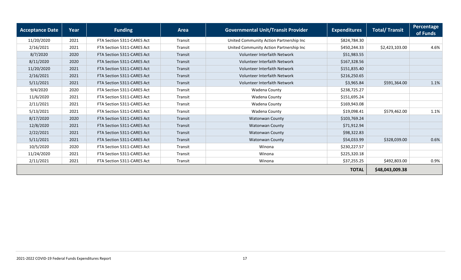| <b>Acceptance Date</b> | Year | <b>Funding</b>             | Area    | <b>Governmental Unit/Transit Provider</b> | <b>Expenditures</b> | <b>Total/ Transit</b> | Percentage<br>of Funds |
|------------------------|------|----------------------------|---------|-------------------------------------------|---------------------|-----------------------|------------------------|
| 11/20/2020             | 2021 | FTA Section 5311-CARES Act | Transit | United Community Action Partnership Inc   | \$824,784.30        |                       |                        |
| 2/16/2021              | 2021 | FTA Section 5311-CARES Act | Transit | United Community Action Partnership Inc   | \$450,244.33        | \$2,423,103.00        | 4.6%                   |
| 8/7/2020               | 2020 | FTA Section 5311-CARES Act | Transit | Volunteer Interfaith Network              | \$51,983.55         |                       |                        |
| 8/11/2020              | 2020 | FTA Section 5311-CARES Act | Transit | Volunteer Interfaith Network              | \$167,328.56        |                       |                        |
| 11/20/2020             | 2021 | FTA Section 5311-CARES Act | Transit | <b>Volunteer Interfaith Network</b>       | \$151,835.40        |                       |                        |
| 2/16/2021              | 2021 | FTA Section 5311-CARES Act | Transit | Volunteer Interfaith Network              | \$216,250.65        |                       |                        |
| 5/11/2021              | 2021 | FTA Section 5311-CARES Act | Transit | <b>Volunteer Interfaith Network</b>       | \$3,965.84          | \$591,364.00          | 1.1%                   |
| 9/4/2020               | 2020 | FTA Section 5311-CARES Act | Transit | Wadena County                             | \$238,725.27        |                       |                        |
| 11/6/2020              | 2021 | FTA Section 5311-CARES Act | Transit | Wadena County                             | \$151,695.24        |                       |                        |
| 2/11/2021              | 2021 | FTA Section 5311-CARES Act | Transit | Wadena County                             | \$169,943.08        |                       |                        |
| 5/13/2021              | 2021 | FTA Section 5311-CARES Act | Transit | Wadena County                             | \$19,098.41         | \$579,462.00          | 1.1%                   |
| 8/17/2020              | 2020 | FTA Section 5311-CARES Act | Transit | Watonwan County                           | \$103,769.24        |                       |                        |
| 12/8/2020              | 2021 | FTA Section 5311-CARES Act | Transit | <b>Watonwan County</b>                    | \$71,912.94         |                       |                        |
| 2/22/2021              | 2021 | FTA Section 5311-CARES Act | Transit | <b>Watonwan County</b>                    | \$98,322.83         |                       |                        |
| 5/11/2021              | 2021 | FTA Section 5311-CARES Act | Transit | Watonwan County                           | \$54,033.99         | \$328,039.00          | 0.6%                   |
| 10/5/2020              | 2020 | FTA Section 5311-CARES Act | Transit | Winona                                    | \$230,227.57        |                       |                        |
| 11/24/2020             | 2021 | FTA Section 5311-CARES Act | Transit | Winona                                    | \$225,320.18        |                       |                        |
| 2/11/2021              | 2021 | FTA Section 5311-CARES Act | Transit | Winona                                    | \$37,255.25         | \$492,803.00          | 0.9%                   |
|                        |      |                            |         |                                           | <b>TOTAL</b>        | \$48,043,009.38       |                        |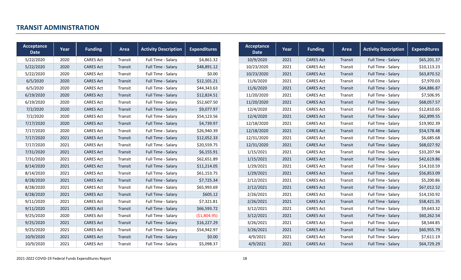#### **TRANSIT ADMINISTRATION**

<span id="page-17-0"></span>

| Acceptance<br><b>Date</b> | Year | <b>Funding</b>   | Area    | <b>Activity Description</b> | <b>Expenditures</b> | Acceptance<br><b>Date</b> | Year | <b>Funding</b>   | Area    | <b>Activity Description</b> | <b>Expenditures</b> |
|---------------------------|------|------------------|---------|-----------------------------|---------------------|---------------------------|------|------------------|---------|-----------------------------|---------------------|
| 5/22/2020                 | 2020 | <b>CARES Act</b> | Transit | Full Time - Salary          | \$4,861.32          | 10/9/2020                 | 2021 | <b>CARES Act</b> | Transit | Full Time - Salary          | \$65,201.37         |
| 5/22/2020                 | 2020 | <b>CARES Act</b> | Transit | Full Time - Salary          | \$48,891.12         | 10/23/2020                | 2021 | <b>CARES Act</b> | Transit | Full Time - Salary          | \$10,113.23         |
| 5/22/2020                 | 2020 | <b>CARES Act</b> | Transit | Full Time - Salary          | \$0.00              | 10/23/2020                | 2021 | <b>CARES Act</b> | Transit | Full Time - Salary          | \$63,870.52         |
| 6/5/2020                  | 2020 | <b>CARES Act</b> | Transit | Full Time - Salary          | \$12,101.21         | 11/6/2020                 | 2021 | <b>CARES Act</b> | Transit | Full Time - Salary          | \$7,970.03          |
| 6/5/2020                  | 2020 | <b>CARES Act</b> | Transit | Full Time - Salary          | \$44,343.63         | 11/6/2020                 | 2021 | <b>CARES Act</b> | Transit | Full Time - Salary          | \$64,886.87         |
| 6/19/2020                 | 2020 | <b>CARES Act</b> | Transit | Full Time - Salary          | \$12,824.51         | 11/20/2020                | 2021 | <b>CARES Act</b> | Transit | Full Time - Salary          | \$7,506.95          |
| 6/19/2020                 | 2020 | <b>CARES Act</b> | Transit | Full Time - Salary          | \$52,607.50         | 11/20/2020                | 2021 | <b>CARES Act</b> | Transit | Full Time - Salary          | \$68,057.57         |
| 7/2/2020                  | 2020 | <b>CARES Act</b> | Transit | Full Time - Salary          | \$9,077.97          | 12/4/2020                 | 2021 | <b>CARES Act</b> | Transit | Full Time - Salary          | \$12,810.65         |
| 7/2/2020                  | 2020 | <b>CARES Act</b> | Transit | Full Time - Salary          | \$54,123.56         | 12/4/2020                 | 2021 | <b>CARES Act</b> | Transit | Full Time - Salary          | \$62,899.55         |
| 7/17/2020                 | 2020 | <b>CARES Act</b> | Transit | Full Time - Salary          | \$4,739.97          | 12/18/2020                | 2021 | <b>CARES Act</b> | Transit | Full Time - Salary          | \$19,902.39         |
| 7/17/2020                 | 2020 | <b>CARES Act</b> | Transit | Full Time - Salary          | \$26,940.39         | 12/18/2020                | 2021 | <b>CARES Act</b> | Transit | Full Time - Salary          | \$54,578.48         |
| 7/17/2020                 | 2021 | <b>CARES Act</b> | Transit | Full Time - Salary          | \$12,052.33         | 12/31/2020                | 2021 | <b>CARES Act</b> | Transit | Full Time - Salary          | \$6,685.68          |
| 7/17/2020                 | 2021 | <b>CARES Act</b> | Transit | Full Time - Salary          | \$20,559.75         | 12/31/2020                | 2021 | <b>CARES Act</b> | Transit | Full Time - Salary          | \$68,027.92         |
| 7/31/2020                 | 2021 | <b>CARES Act</b> | Transit | Full Time - Salary          | \$6,155.91          | 1/15/2021                 | 2021 | <b>CARES Act</b> | Transit | Full Time - Salary          | \$33,207.94         |
| 7/31/2020                 | 2021 | <b>CARES Act</b> | Transit | Full Time - Salary          | \$62,651.89         | 1/15/2021                 | 2021 | <b>CARES Act</b> | Transit | Full Time - Salary          | \$42,619.86         |
| 8/14/2020                 | 2021 | <b>CARES Act</b> | Transit | Full Time - Salary          | \$11,214.05         | 1/29/2021                 | 2021 | <b>CARES Act</b> | Transit | Full Time - Salary          | \$14,310.59         |
| 8/14/2020                 | 2021 | <b>CARES Act</b> | Transit | Full Time - Salary          | \$61,153.75         | 1/29/2021                 | 2021 | <b>CARES Act</b> | Transit | Full Time - Salary          | \$56,853.09         |
| 8/28/2020                 | 2021 | <b>CARES Act</b> | Transit | Full Time - Salary          | \$7,725.34          | 2/12/2021                 | 2021 | <b>CARES Act</b> | Transit | Full Time - Salary          | \$5,200.86          |
| 8/28/2020                 | 2021 | <b>CARES Act</b> | Transit | Full Time - Salary          | \$65,993.69         | 2/12/2021                 | 2021 | <b>CARES Act</b> | Transit | Full Time - Salary          | \$67,012.52         |
| 8/28/2020                 | 2021 | <b>CARES Act</b> | Transit | Full Time - Salary          | \$605.12            | 2/26/2021                 | 2021 | <b>CARES Act</b> | Transit | Full Time - Salary          | \$14,150.92         |
| 9/11/2020                 | 2021 | <b>CARES Act</b> | Transit | Full Time - Salary          | \$7,321.81          | 2/26/2021                 | 2021 | <b>CARES Act</b> | Transit | Full Time - Salary          | \$58,421.35         |
| 9/11/2020                 | 2021 | <b>CARES Act</b> | Transit | Full Time - Salary          | \$66,593.72         | 3/12/2021                 | 2021 | <b>CARES Act</b> | Transit | Full Time - Salary          | \$9,643.32          |
| 9/25/2020                 | 2020 | <b>CARES Act</b> | Transit | Full Time - Salary          | ( \$1,804.95)       | 3/12/2021                 | 2021 | <b>CARES Act</b> | Transit | Full Time - Salary          | \$60,262.54         |
| 9/25/2020                 | 2021 | <b>CARES Act</b> | Transit | Full Time - Salary          | \$16,227.29         | 3/26/2021                 | 2021 | <b>CARES Act</b> | Transit | Full Time - Salary          | \$8,544.85          |
| 9/25/2020                 | 2021 | <b>CARES Act</b> | Transit | Full Time - Salary          | \$54,942.97         | 3/26/2021                 | 2021 | <b>CARES Act</b> | Transit | Full Time - Salary          | \$60,955.79         |
| 10/9/2020                 | 2021 | <b>CARES Act</b> | Transit | Full Time - Salary          | \$0.00              | 4/9/2021                  | 2021 | <b>CARES Act</b> | Transit | Full Time - Salary          | \$7,611.19          |
| 10/9/2020                 | 2021 | <b>CARES Act</b> | Transit | Full Time - Salary          | \$5,098.37          | 4/9/2021                  | 2021 | <b>CARES Act</b> | Transit | Full Time - Salary          | \$64,729.29         |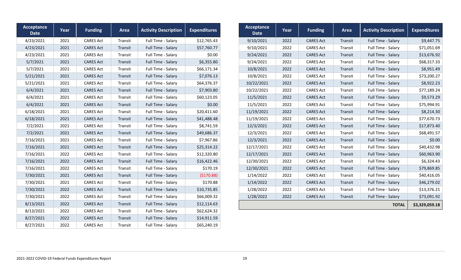| Acceptance<br><b>Date</b> | Year | <b>Funding</b>   | Area    | <b>Activity Description</b> | <b>Expenditures</b> | Acceptance<br><b>Date</b> | Year | <b>Funding</b>   | Area    | <b>Activity Description</b> | <b>Expenditures</b> |
|---------------------------|------|------------------|---------|-----------------------------|---------------------|---------------------------|------|------------------|---------|-----------------------------|---------------------|
| 4/23/2021                 | 2021 | <b>CARES Act</b> | Transit | Full Time - Salary          | \$12,765.43         | 9/10/2021                 | 2022 | <b>CARES Act</b> | Transit | Full Time - Salary          | \$9,447.75          |
| 4/23/2021                 | 2021 | <b>CARES Act</b> | Transit | Full Time - Salary          | \$57,760.77         | 9/10/2021                 | 2022 | <b>CARES Act</b> | Transit | Full Time - Salary          | \$71,051.69         |
| 4/23/2021                 | 2021 | <b>CARES Act</b> | Transit | Full Time - Salary          | \$0.00              | 9/24/2021                 | 2022 | <b>CARES Act</b> | Transit | Full Time - Salary          | \$13,676.92         |
| 5/7/2021                  | 2021 | <b>CARES Act</b> | Transit | Full Time - Salary          | \$6,355.80          | 9/24/2021                 | 2022 | <b>CARES Act</b> | Transit | Full Time - Salary          | \$68,317.33         |
| 5/7/2021                  | 2021 | <b>CARES Act</b> | Transit | Full Time - Salary          | \$66,171.34         | 10/8/2021                 | 2022 | <b>CARES Act</b> | Transit | Full Time - Salary          | \$8,951.49          |
| 5/21/2021                 | 2021 | <b>CARES Act</b> | Transit | Full Time - Salary          | \$7,076.13          | 10/8/2021                 | 2022 | <b>CARES Act</b> | Transit | Full Time - Salary          | \$73,200.27         |
| 5/21/2021                 | 2021 | <b>CARES Act</b> | Transit | Full Time - Salary          | \$64,376.37         | 10/22/2021                | 2022 | <b>CARES Act</b> | Transit | Full Time - Salary          | \$8,922.23          |
| 6/4/2021                  | 2021 | <b>CARES Act</b> | Transit | Full Time - Salary          | \$7,903.80          | 10/22/2021                | 2022 | <b>CARES Act</b> | Transit | Full Time - Salary          | \$77,189.24         |
| 6/4/2021                  | 2021 | <b>CARES Act</b> | Transit | Full Time - Salary          | \$60,123.05         | 11/5/2021                 | 2022 | <b>CARES Act</b> | Transit | Full Time - Salary          | \$9,573.29          |
| 6/4/2021                  | 2021 | <b>CARES Act</b> | Transit | Full Time - Salary          | \$0.00              | 11/5/2021                 | 2022 | <b>CARES Act</b> | Transit | Full Time - Salary          | \$75,994.91         |
| 6/18/2021                 | 2021 | <b>CARES Act</b> | Transit | Full Time - Salary          | \$20,411.60         | 11/19/2021                | 2022 | <b>CARES Act</b> | Transit | Full Time - Salary          | \$8,214.30          |
| 6/18/2021                 | 2021 | <b>CARES Act</b> | Transit | Full Time - Salary          | \$41,488.48         | 11/19/2021                | 2022 | <b>CARES Act</b> | Transit | Full Time - Salary          | \$77,670.73         |
| 7/2/2021                  | 2021 | <b>CARES Act</b> | Transit | Full Time - Salary          | \$8,741.59          | 12/3/2021                 | 2022 | <b>CARES Act</b> | Transit | Full Time - Salary          | \$17,873.40         |
| 7/2/2021                  | 2021 | <b>CARES Act</b> | Transit | Full Time - Salary          | \$49,686.37         | 12/3/2021                 | 2022 | <b>CARES Act</b> | Transit | Full Time - Salary          | \$68,491.57         |
| 7/16/2021                 | 2021 | <b>CARES Act</b> | Transit | Full Time - Salary          | \$7,967.86          | 12/3/2021                 | 2022 | <b>CARES Act</b> | Transit | Full Time - Salary          |                     |
| 7/16/2021                 | 2021 | <b>CARES Act</b> | Transit | Full Time - Salary          | \$25,314.22         | 12/17/2021                | 2022 | <b>CARES Act</b> | Transit | Full Time - Salary          | \$40,432.98         |
| 7/16/2021                 | 2022 | <b>CARES Act</b> | Transit | Full Time - Salary          | \$12,320.80         | 12/17/2021                | 2022 | <b>CARES Act</b> | Transit | Full Time - Salary          | \$60,963.90         |
| 7/16/2021                 | 2022 | <b>CARES Act</b> | Transit | Full Time - Salary          | \$16,422.46         | 12/30/2021                | 2022 | <b>CARES Act</b> | Transit | Full Time - Salary          | \$6,324.43          |
| 7/16/2021                 | 2022 | <b>CARES Act</b> | Transit | Full Time - Salary          | \$170.19            | 12/30/2021                | 2022 | <b>CARES Act</b> | Transit | Full Time - Salary          | \$79,869.85         |
| 7/30/2021                 | 2021 | <b>CARES Act</b> | Transit | Full Time - Salary          | (\$170.88)          | 1/14/2022                 | 2022 | <b>CARES Act</b> | Transit | Full Time - Salary          | \$40,416.05         |
| 7/30/2021                 | 2021 | <b>CARES Act</b> | Transit | Full Time - Salary          | \$170.88            | 1/14/2022                 | 2022 | <b>CARES Act</b> | Transit | Full Time - Salary          | \$46,279.02         |
| 7/30/2021                 | 2022 | <b>CARES Act</b> | Transit | Full Time - Salary          | \$10,735.85         | 1/28/2022                 | 2022 | <b>CARES Act</b> | Transit | Full Time - Salary          | \$13,376.21         |
| 7/30/2021                 | 2022 | <b>CARES Act</b> | Transit | Full Time - Salary          | \$66,009.32         | 1/28/2022                 | 2022 | <b>CARES Act</b> | Transit | Full Time - Salary          | \$73,091.92         |
| 8/13/2021                 | 2022 | <b>CARES Act</b> | Transit | Full Time - Salary          | \$12,114.63         |                           |      |                  |         | <b>TOTAL</b>                | \$3,329,059.18      |
| 8/13/2021                 | 2022 | <b>CARES Act</b> | Transit | Full Time - Salary          | \$62,624.32         |                           |      |                  |         |                             |                     |
| 8/27/2021                 | 2022 | <b>CARES Act</b> | Transit | Full Time - Salary          | \$14,911.59         |                           |      |                  |         |                             |                     |
| 8/27/2021                 | 2022 | <b>CARES Act</b> | Transit | Full Time - Salary          | \$65,240.19         |                           |      |                  |         |                             |                     |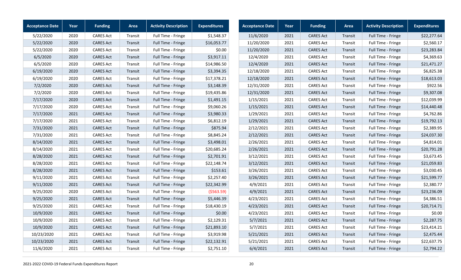| <b>Acceptance Date</b> | Year | <b>Funding</b>   | Area    | <b>Activity Description</b> | <b>Expenditures</b> | <b>Acceptance Date</b> | Year | <b>Funding</b>   | Area    | <b>Activity Description</b> | <b>Expenditures</b> |
|------------------------|------|------------------|---------|-----------------------------|---------------------|------------------------|------|------------------|---------|-----------------------------|---------------------|
| 5/22/2020              | 2020 | <b>CARES Act</b> | Transit | Full Time - Fringe          | \$1,548.37          | 11/6/2020              | 2021 | <b>CARES Act</b> | Transit | Full Time - Fringe          | \$22,277.64         |
| 5/22/2020              | 2020 | <b>CARES Act</b> | Transit | Full Time - Fringe          | \$16,053.77         | 11/20/2020             | 2021 | <b>CARES Act</b> | Transit | Full Time - Fringe          | \$2,560.17          |
| 5/22/2020              | 2020 | <b>CARES Act</b> | Transit | Full Time - Fringe          | \$0.00              | 11/20/2020             | 2021 | <b>CARES Act</b> | Transit | Full Time - Fringe          | \$23,283.84         |
| 6/5/2020               | 2020 | <b>CARES Act</b> | Transit | Full Time - Fringe          | \$3,917.11          | 12/4/2020              | 2021 | <b>CARES Act</b> | Transit | Full Time - Fringe          | \$4,369.63          |
| 6/5/2020               | 2020 | <b>CARES Act</b> | Transit | Full Time - Fringe          | \$14,986.50         | 12/4/2020              | 2021 | <b>CARES Act</b> | Transit | Full Time - Fringe          | \$21,471.27         |
| 6/19/2020              | 2020 | <b>CARES Act</b> | Transit | Full Time - Fringe          | \$3,394.35          | 12/18/2020             | 2021 | <b>CARES Act</b> | Transit | Full Time - Fringe          | \$6,825.38          |
| 6/19/2020              | 2020 | <b>CARES Act</b> | Transit | Full Time - Fringe          | \$17,378.21         | 12/18/2020             | 2021 | <b>CARES Act</b> | Transit | Full Time - Fringe          | \$18,613.03         |
| 7/2/2020               | 2020 | <b>CARES Act</b> | Transit | Full Time - Fringe          | \$3,148.39          | 12/31/2020             | 2021 | <b>CARES Act</b> | Transit | Full Time - Fringe          | \$922.56            |
| 7/2/2020               | 2020 | <b>CARES Act</b> | Transit | Full Time - Fringe          | \$19,435.86         | 12/31/2020             | 2021 | <b>CARES Act</b> | Transit | Full Time - Fringe          | \$9,307.08          |
| 7/17/2020              | 2020 | <b>CARES Act</b> | Transit | Full Time - Fringe          | \$1,491.15          | 1/15/2021              | 2021 | <b>CARES Act</b> | Transit | Full Time - Fringe          | \$12,039.99         |
| 7/17/2020              | 2020 | <b>CARES Act</b> | Transit | Full Time - Fringe          | \$9,060.26          | 1/15/2021              | 2021 | <b>CARES Act</b> | Transit | Full Time - Fringe          | \$14,440.48         |
| 7/17/2020              | 2021 | <b>CARES Act</b> | Transit | Full Time - Fringe          | \$3,980.33          | 1/29/2021              | 2021 | <b>CARES Act</b> | Transit | Full Time - Fringe          | \$4,762.86          |
| 7/17/2020              | 2021 | <b>CARES Act</b> | Transit | Full Time - Fringe          | \$6,812.19          | 1/29/2021              | 2021 | <b>CARES Act</b> | Transit | Full Time - Fringe          | \$19,792.13         |
| 7/31/2020              | 2021 | <b>CARES Act</b> | Transit | Full Time - Fringe          | \$875.94            | 2/12/2021              | 2021 | <b>CARES Act</b> | Transit | Full Time - Fringe          | \$2,389.95          |
| 7/31/2020              | 2021 | <b>CARES Act</b> | Transit | Full Time - Fringe          | \$8,845.24          | 2/12/2021              | 2021 | <b>CARES Act</b> | Transit | Full Time - Fringe          | \$24,037.30         |
| 8/14/2020              | 2021 | <b>CARES Act</b> | Transit | Full Time - Fringe          | \$3,498.01          | 2/26/2021              | 2021 | <b>CARES Act</b> | Transit | Full Time - Fringe          | \$4,814.01          |
| 8/14/2020              | 2021 | <b>CARES Act</b> | Transit | Full Time - Fringe          | \$20,685.24         | 2/26/2021              | 2021 | <b>CARES Act</b> | Transit | Full Time - Fringe          | \$20,791.28         |
| 8/28/2020              | 2021 | <b>CARES Act</b> | Transit | Full Time - Fringe          | \$2,701.91          | 3/12/2021              | 2021 | <b>CARES Act</b> | Transit | Full Time - Fringe          | \$3,673.45          |
| 8/28/2020              | 2021 | <b>CARES Act</b> | Transit | Full Time - Fringe          | \$22,148.74         | 3/12/2021              | 2021 | <b>CARES Act</b> | Transit | Full Time - Fringe          | \$21,059.83         |
| 8/28/2020              | 2021 | <b>CARES Act</b> | Transit | Full Time - Fringe          | \$153.61            | 3/26/2021              | 2021 | <b>CARES Act</b> | Transit | Full Time - Fringe          | \$3,030.45          |
| 9/11/2020              | 2021 | <b>CARES Act</b> | Transit | Full Time - Fringe          | \$2,257.40          | 3/26/2021              | 2021 | <b>CARES Act</b> | Transit | Full Time - Fringe          | \$21,599.77         |
| 9/11/2020              | 2021 | <b>CARES Act</b> | Transit | Full Time - Fringe          | \$22,342.99         | 4/9/2021               | 2021 | <b>CARES Act</b> | Transit | Full Time - Fringe          | \$2,380.77          |
| 9/25/2020              | 2020 | <b>CARES Act</b> | Transit | Full Time - Fringe          | (5563.59)           | 4/9/2021               | 2021 | <b>CARES Act</b> | Transit | Full Time - Fringe          | \$23,236.09         |
| 9/25/2020              | 2021 | <b>CARES Act</b> | Transit | Full Time - Fringe          | \$5,446.39          | 4/23/2021              | 2021 | <b>CARES Act</b> | Transit | Full Time - Fringe          | \$4,386.51          |
| 9/25/2020              | 2021 | <b>CARES Act</b> | Transit | Full Time - Fringe          | \$18,430.19         | 4/23/2021              | 2021 | <b>CARES Act</b> | Transit | Full Time - Fringe          | \$20,714.71         |
| 10/9/2020              | 2021 | <b>CARES Act</b> | Transit | Full Time - Fringe          | \$0.00              | 4/23/2021              | 2021 | <b>CARES Act</b> | Transit | Full Time - Fringe          | \$0.00              |
| 10/9/2020              | 2021 | <b>CARES Act</b> | Transit | Full Time - Fringe          | \$2,129.31          | 5/7/2021               | 2021 | <b>CARES Act</b> | Transit | Full Time - Fringe          | \$2,287.75          |
| 10/9/2020              | 2021 | <b>CARES Act</b> | Transit | Full Time - Fringe          | \$21,893.10         | 5/7/2021               | 2021 | <b>CARES Act</b> | Transit | Full Time - Fringe          | \$23,414.21         |
| 10/23/2020             | 2021 | <b>CARES Act</b> | Transit | Full Time - Fringe          | \$3,919.98          | 5/21/2021              | 2021 | <b>CARES Act</b> | Transit | Full Time - Fringe          | \$2,475.44          |
| 10/23/2020             | 2021 | <b>CARES Act</b> | Transit | Full Time - Fringe          | \$22,132.91         | 5/21/2021              | 2021 | <b>CARES Act</b> | Transit | Full Time - Fringe          | \$22,637.75         |
| 11/6/2020              | 2021 | <b>CARES Act</b> | Transit | Full Time - Fringe          | \$2,751.10          | 6/4/2021               | 2021 | <b>CARES Act</b> | Transit | Full Time - Fringe          | \$2,794.22          |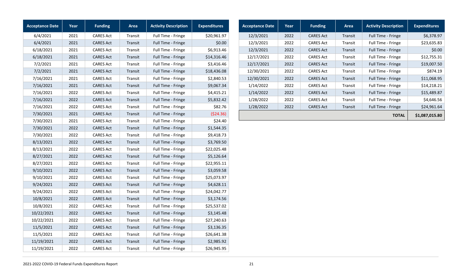| <b>Acceptance Date</b> | Year | <b>Funding</b>   | Area    | <b>Activity Description</b> | <b>Expenditures</b> |
|------------------------|------|------------------|---------|-----------------------------|---------------------|
| 6/4/2021               | 2021 | <b>CARES Act</b> | Transit | Full Time - Fringe          | \$20,961.97         |
| 6/4/2021               | 2021 | <b>CARES Act</b> | Transit | Full Time - Fringe          | \$0.00              |
| 6/18/2021              | 2021 | <b>CARES Act</b> | Transit | Full Time - Fringe          | \$6,913.46          |
| 6/18/2021              | 2021 | <b>CARES Act</b> | Transit | Full Time - Fringe          | \$14,316.46         |
| 7/2/2021               | 2021 | <b>CARES Act</b> | Transit | Full Time - Fringe          | \$3,416.46          |
| 7/2/2021               | 2021 | <b>CARES Act</b> | Transit | Full Time - Fringe          | \$18,436.08         |
| 7/16/2021              | 2021 | <b>CARES Act</b> | Transit | Full Time - Fringe          | \$2,840.53          |
| 7/16/2021              | 2021 | <b>CARES Act</b> | Transit | Full Time - Fringe          | \$9,067.34          |
| 7/16/2021              | 2022 | <b>CARES Act</b> | Transit | Full Time - Fringe          | \$4,415.21          |
| 7/16/2021              | 2022 | <b>CARES Act</b> | Transit | Full Time - Fringe          | \$5,832.42          |
| 7/16/2021              | 2022 | <b>CARES Act</b> | Transit | Full Time - Fringe          | \$82.76             |
| 7/30/2021              | 2021 | <b>CARES Act</b> | Transit | Full Time - Fringe          | ( \$24.36)          |
| 7/30/2021              | 2021 | <b>CARES Act</b> | Transit | Full Time - Fringe          | \$24.40             |
| 7/30/2021              | 2022 | <b>CARES Act</b> | Transit | Full Time - Fringe          | \$1,544.35          |
| 7/30/2021              | 2022 | <b>CARES Act</b> | Transit | Full Time - Fringe          | \$9,418.73          |
| 8/13/2021              | 2022 | <b>CARES Act</b> | Transit | Full Time - Fringe          | \$3,769.50          |
| 8/13/2021              | 2022 | <b>CARES Act</b> | Transit | Full Time - Fringe          | \$22,025.48         |
| 8/27/2021              | 2022 | <b>CARES Act</b> | Transit | Full Time - Fringe          | \$5,126.64          |
| 8/27/2021              | 2022 | <b>CARES Act</b> | Transit | Full Time - Fringe          | \$22,955.11         |
| 9/10/2021              | 2022 | <b>CARES Act</b> | Transit | Full Time - Fringe          | \$3,059.58          |
| 9/10/2021              | 2022 | <b>CARES Act</b> | Transit | Full Time - Fringe          | \$25,073.97         |
| 9/24/2021              | 2022 | <b>CARES Act</b> | Transit | Full Time - Fringe          | \$4,628.11          |
| 9/24/2021              | 2022 | <b>CARES Act</b> | Transit | Full Time - Fringe          | \$24,042.77         |
| 10/8/2021              | 2022 | <b>CARES Act</b> | Transit | Full Time - Fringe          | \$3,174.56          |
| 10/8/2021              | 2022 | <b>CARES Act</b> | Transit | Full Time - Fringe          | \$25,537.02         |
| 10/22/2021             | 2022 | <b>CARES Act</b> | Transit | Full Time - Fringe          | \$3,145.48          |
| 10/22/2021             | 2022 | <b>CARES Act</b> | Transit | Full Time - Fringe          | \$27,240.63         |
| 11/5/2021              | 2022 | <b>CARES Act</b> | Transit | Full Time - Fringe          | \$3,136.35          |
| 11/5/2021              | 2022 | <b>CARES Act</b> | Transit | Full Time - Fringe          | \$26,641.38         |
| 11/19/2021             | 2022 | <b>CARES Act</b> | Transit | Full Time - Fringe          | \$2,985.92          |
| 11/19/2021             | 2022 | <b>CARES Act</b> | Transit | Full Time - Fringe          | \$26,945.95         |

| <b>Acceptance Date</b> | Year | <b>Funding</b>   | Area    | <b>Activity Description</b> | <b>Expenditures</b> |
|------------------------|------|------------------|---------|-----------------------------|---------------------|
| 12/3/2021              | 2022 | <b>CARES Act</b> | Transit | Full Time - Fringe          | \$6,378.97          |
| 12/3/2021              | 2022 | <b>CARES Act</b> | Transit | Full Time - Fringe          | \$23,635.83         |
| 12/3/2021              | 2022 | <b>CARES Act</b> | Transit | Full Time - Fringe          | \$0.00              |
| 12/17/2021             | 2022 | <b>CARES Act</b> | Transit | Full Time - Fringe          | \$12,755.31         |
| 12/17/2021             | 2022 | <b>CARES Act</b> | Transit | Full Time - Fringe          | \$19,007.50         |
| 12/30/2021             | 2022 | <b>CARES Act</b> | Transit | Full Time - Fringe          | \$874.19            |
| 12/30/2021             | 2022 | <b>CARES Act</b> | Transit | Full Time - Fringe          | \$11,068.95         |
| 1/14/2022              | 2022 | <b>CARES Act</b> | Transit | Full Time - Fringe          | \$14,218.21         |
| 1/14/2022              | 2022 | <b>CARES Act</b> | Transit | Full Time - Fringe          | \$15,489.87         |
| 1/28/2022              | 2022 | <b>CARES Act</b> | Transit | Full Time - Fringe          | \$4,646.56          |
| 1/28/2022              | 2022 | <b>CARES Act</b> | Transit | Full Time - Fringe          | \$24,961.64         |
|                        |      |                  |         | <b>TOTAL</b>                | \$1,087,015.80      |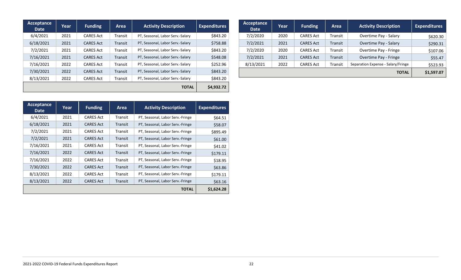| Acceptance<br><b>Date</b> | Year | <b>Funding</b>   | Area           | <b>Activity Description</b>      | <b>Expenditures</b> |
|---------------------------|------|------------------|----------------|----------------------------------|---------------------|
| 6/4/2021                  | 2021 | <b>CARES Act</b> | <b>Transit</b> | PT, Seasonal, Labor Serv.-Salary | \$843.20            |
| 6/18/2021                 | 2021 | <b>CARES Act</b> | Transit        | PT, Seasonal, Labor Serv.-Salary | \$758.88            |
| 7/2/2021                  | 2021 | <b>CARES Act</b> | Transit        | PT, Seasonal, Labor Serv.-Salary | \$843.20            |
| 7/16/2021                 | 2021 | <b>CARES Act</b> | Transit        | PT, Seasonal, Labor Serv.-Salary | \$548.08            |
| 7/16/2021                 | 2022 | <b>CARES Act</b> | Transit        | PT, Seasonal, Labor Serv.-Salary | \$252.96            |
| 7/30/2021                 | 2022 | <b>CARES Act</b> | Transit        | PT, Seasonal, Labor Serv.-Salary | \$843.20            |
| 8/13/2021                 | 2022 | <b>CARES Act</b> | <b>Transit</b> | PT, Seasonal, Labor Serv.-Salary | \$843.20            |
|                           |      |                  |                | <b>TOTAL</b>                     | \$4.932.72          |

| Acceptance<br><b>Date</b> | Year | <b>Funding</b>   | Area    | <b>Activity Description</b>        | <b>Expenditures</b> |
|---------------------------|------|------------------|---------|------------------------------------|---------------------|
| 7/2/2020                  | 2020 | <b>CARES Act</b> | Transit | Overtime Pay - Salary              | \$620.30            |
| 7/2/2021                  | 2021 | <b>CARES Act</b> | Transit | Overtime Pay - Salary              | \$290.31            |
| 7/2/2020                  | 2020 | <b>CARES Act</b> | Transit | Overtime Pay - Fringe              | \$107.06            |
| 7/2/2021                  | 2021 | <b>CARES Act</b> | Transit | Overtime Pay - Fringe              | \$55.47             |
| 8/13/2021                 | 2022 | <b>CARES Act</b> | Transit | Separation Expense - Salary/Fringe | \$523.93            |
|                           |      |                  |         | <b>TOTAL</b>                       | \$1,597.07          |

| Acceptance<br>Date | Year | <b>Funding</b>   | Area    | <b>Activity Description</b>      | <b>Expenditures</b> |
|--------------------|------|------------------|---------|----------------------------------|---------------------|
| 6/4/2021           | 2021 | <b>CARES Act</b> | Transit | PT, Seasonal, Labor Serv.-Fringe | \$64.51             |
| 6/18/2021          | 2021 | <b>CARES Act</b> | Transit | PT, Seasonal, Labor Serv.-Fringe | \$58.07             |
| 7/2/2021           | 2021 | <b>CARES Act</b> | Transit | PT, Seasonal, Labor Serv.-Fringe | \$895.49            |
| 7/2/2021           | 2021 | <b>CARES Act</b> | Transit | PT, Seasonal, Labor Serv.-Fringe | \$61.00             |
| 7/16/2021          | 2021 | <b>CARES Act</b> | Transit | PT, Seasonal, Labor Serv.-Fringe | \$41.02             |
| 7/16/2021          | 2022 | <b>CARES Act</b> | Transit | PT, Seasonal, Labor Serv.-Fringe | \$179.11            |
| 7/16/2021          | 2022 | <b>CARES Act</b> | Transit | PT, Seasonal, Labor Serv.-Fringe | \$18.95             |
| 7/30/2021          | 2022 | <b>CARES Act</b> | Transit | PT, Seasonal, Labor Serv.-Fringe | \$63.86             |
| 8/13/2021          | 2022 | <b>CARES Act</b> | Transit | PT, Seasonal, Labor Serv.-Fringe | \$179.11            |
| 8/13/2021          | 2022 | <b>CARES Act</b> | Transit | PT, Seasonal, Labor Serv.-Fringe | \$63.16             |
|                    |      |                  |         | <b>TOTAL</b>                     | \$1,624.28          |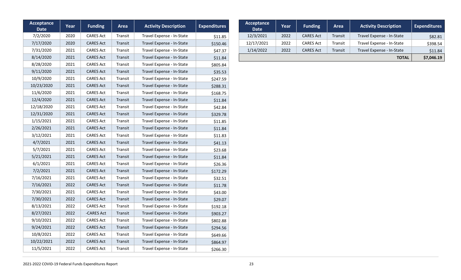| <b>Acceptance</b><br><b>Date</b> | Year | <b>Funding</b>   | <b>Area</b> | <b>Activity Description</b> | <b>Expenditures</b> |
|----------------------------------|------|------------------|-------------|-----------------------------|---------------------|
| 7/2/2020                         | 2020 | <b>CARES Act</b> | Transit     | Travel Expense - In-State   | \$11.85             |
| 7/17/2020                        | 2020 | <b>CARES Act</b> | Transit     | Travel Expense - In-State   | \$150.46            |
| 7/31/2020                        | 2021 | <b>CARES Act</b> | Transit     | Travel Expense - In-State   | \$47.37             |
| 8/14/2020                        | 2021 | <b>CARES Act</b> | Transit     | Travel Expense - In-State   | \$11.84             |
| 8/28/2020                        | 2021 | <b>CARES Act</b> | Transit     | Travel Expense - In-State   | \$805.84            |
| 9/11/2020                        | 2021 | <b>CARES Act</b> | Transit     | Travel Expense - In-State   | \$35.53             |
| 10/9/2020                        | 2021 | <b>CARES Act</b> | Transit     | Travel Expense - In-State   | \$247.59            |
| 10/23/2020                       | 2021 | <b>CARES Act</b> | Transit     | Travel Expense - In-State   | \$288.31            |
| 11/6/2020                        | 2021 | <b>CARES Act</b> | Transit     | Travel Expense - In-State   | \$168.75            |
| 12/4/2020                        | 2021 | <b>CARES Act</b> | Transit     | Travel Expense - In-State   | \$11.84             |
| 12/18/2020                       | 2021 | <b>CARES Act</b> | Transit     | Travel Expense - In-State   | \$42.84             |
| 12/31/2020                       | 2021 | <b>CARES Act</b> | Transit     | Travel Expense - In-State   | \$329.78            |
| 1/15/2021                        | 2021 | <b>CARES Act</b> | Transit     | Travel Expense - In-State   | \$11.85             |
| 2/26/2021                        | 2021 | <b>CARES Act</b> | Transit     | Travel Expense - In-State   | \$11.84             |
| 3/12/2021                        | 2021 | <b>CARES Act</b> | Transit     | Travel Expense - In-State   | \$11.83             |
| 4/7/2021                         | 2021 | <b>CARES Act</b> | Transit     | Travel Expense - In-State   | \$41.13             |
| 5/7/2021                         | 2021 | <b>CARES Act</b> | Transit     | Travel Expense - In-State   | \$23.68             |
| 5/21/2021                        | 2021 | <b>CARES Act</b> | Transit     | Travel Expense - In-State   | \$11.84             |
| 6/1/2021                         | 2021 | <b>CARES Act</b> | Transit     | Travel Expense - In-State   | \$26.36             |
| 7/2/2021                         | 2021 | <b>CARES Act</b> | Transit     | Travel Expense - In-State   | \$172.29            |
| 7/16/2021                        | 2021 | <b>CARES Act</b> | Transit     | Travel Expense - In-State   | \$32.51             |
| 7/16/2021                        | 2022 | <b>CARES Act</b> | Transit     | Travel Expense - In-State   | \$11.78             |
| 7/30/2021                        | 2021 | <b>CARES Act</b> | Transit     | Travel Expense - In-State   | \$43.00             |
| 7/30/2021                        | 2022 | <b>CARES Act</b> | Transit     | Travel Expense - In-State   | \$29.07             |
| 8/13/2021                        | 2022 | <b>CARES Act</b> | Transit     | Travel Expense - In-State   | \$192.18            |
| 8/27/2021                        | 2022 | -CARES Act       | Transit     | Travel Expense - In-State   | \$903.27            |
| 9/10/2021                        | 2022 | <b>CARES Act</b> | Transit     | Travel Expense - In-State   | \$802.88            |
| 9/24/2021                        | 2022 | <b>CARES Act</b> | Transit     | Travel Expense - In-State   | \$294.56            |
| 10/8/2021                        | 2022 | <b>CARES Act</b> | Transit     | Travel Expense - In-State   | \$649.66            |
| 10/22/2021                       | 2022 | <b>CARES Act</b> | Transit     | Travel Expense - In-State   | \$864.97            |
| 11/5/2021                        | 2022 | <b>CARES Act</b> | Transit     | Travel Expense - In-State   | \$266.30            |

| Acceptance<br><b>Date</b> | Year | <b>Funding</b>   | Area    | <b>Activity Description</b> | <b>Expenditures</b> |
|---------------------------|------|------------------|---------|-----------------------------|---------------------|
| 12/3/2021                 | 2022 | <b>CARES Act</b> | Transit | Travel Expense - In-State   | \$82.81             |
| 12/17/2021                | 2022 | <b>CARES Act</b> | Transit | Travel Expense - In-State   | \$398.54            |
| 1/14/2022                 | 2022 | <b>CARES Act</b> | Transit | Travel Expense - In-State   | \$11.84             |
|                           |      |                  |         | <b>TOTAL</b>                | \$7,046.19          |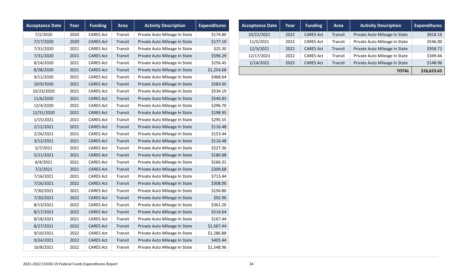| <b>Acceptance Date</b> | Year | <b>Funding</b>   | Area    | <b>Activity Description</b>   | <b>Expenditures</b> |
|------------------------|------|------------------|---------|-------------------------------|---------------------|
| 7/2/2020               | 2020 | <b>CARES Act</b> | Transit | Private Auto Mileage In State | \$174.80            |
| 7/17/2020              | 2020 | <b>CARES Act</b> | Transit | Private Auto Mileage In State | \$177.10            |
| 7/31/2020              | 2021 | <b>CARES Act</b> | Transit | Private Auto Mileage In State | \$25.30             |
| 7/31/2020              | 2021 | <b>CARES Act</b> | Transit | Private Auto Mileage In State | \$596.29            |
| 8/14/2020              | 2021 | <b>CARES Act</b> | Transit | Private Auto Mileage In State | \$256.45            |
| 8/28/2020              | 2021 | <b>CARES Act</b> | Transit | Private Auto Mileage In State | \$1,254.68          |
| 9/11/2020              | 2021 | <b>CARES Act</b> | Transit | Private Auto Mileage In State | \$468.64            |
| 10/9/2020              | 2021 | <b>CARES Act</b> | Transit | Private Auto Mileage In State | \$583.05            |
| 10/23/2020             | 2021 | <b>CARES Act</b> | Transit | Private Auto Mileage In State | \$534.19            |
| 11/6/2020              | 2021 | <b>CARES Act</b> | Transit | Private Auto Mileage In State | \$546.83            |
| 12/4/2020              | 2021 | <b>CARES Act</b> | Transit | Private Auto Mileage In State | \$296.70            |
| 12/31/2020             | 2021 | <b>CARES Act</b> | Transit | Private Auto Mileage In State | \$198.95            |
| 1/15/2021              | 2021 | <b>CARES Act</b> | Transit | Private Auto Mileage In State | \$295.55            |
| 2/12/2021              | 2021 | <b>CARES Act</b> | Transit | Private Auto Mileage In State | \$116.48            |
| 2/26/2021              | 2021 | <b>CARES Act</b> | Transit | Private Auto Mileage In State | \$153.44            |
| 3/12/2021              | 2021 | <b>CARES Act</b> | Transit | Private Auto Mileage In State | \$116.48            |
| 5/7/2021               | 2021 | <b>CARES Act</b> | Transit | Private Auto Mileage In State | \$227.36            |
| 5/21/2021              | 2021 | <b>CARES Act</b> | Transit | Private Auto Mileage In State | \$180.88            |
| 6/4/2021               | 2021 | <b>CARES Act</b> | Transit | Private Auto Mileage In State | \$166.32            |
| 7/2/2021               | 2021 | <b>CARES Act</b> | Transit | Private Auto Mileage In State | \$309.68            |
| 7/16/2021              | 2021 | <b>CARES Act</b> | Transit | Private Auto Mileage In State | \$713.44            |
| 7/16/2021              | 2022 | <b>CARES Act</b> | Transit | Private Auto Mileage In State | \$308.00            |
| 7/30/2021              | 2021 | <b>CARES Act</b> | Transit | Private Auto Mileage In State | \$156.80            |
| 7/30/2021              | 2022 | <b>CARES Act</b> | Transit | Private Auto Mileage In State | \$92.96             |
| 8/13/2021              | 2022 | <b>CARES Act</b> | Transit | Private Auto Mileage In State | \$361.20            |
| 8/17/2021              | 2022 | <b>CARES Act</b> | Transit | Private Auto Mileage In State | \$514.64            |
| 8/18/2021              | 2021 | <b>CARES Act</b> | Transit | Private Auto Mileage In State | \$167.44            |
| 8/27/2021              | 2022 | <b>CARES Act</b> | Transit | Private Auto Mileage In State | \$1,567.44          |
| 9/10/2021              | 2022 | <b>CARES Act</b> | Transit | Private Auto Mileage In State | \$1,286.88          |
| 9/24/2021              | 2022 | <b>CARES Act</b> | Transit | Private Auto Mileage In State | \$405.44            |
| 10/8/2021              | 2022 | <b>CARES Act</b> | Transit | Private Auto Mileage In State | \$1,548.96          |

| <b>Acceptance Date</b> | Year | <b>Funding</b>   | Area    | <b>Activity Description</b>   | <b>Expenditures</b> |
|------------------------|------|------------------|---------|-------------------------------|---------------------|
| 10/22/2021             | 2022 | <b>CARES Act</b> | Transit | Private Auto Mileage In State | \$818.16            |
| 11/5/2021              | 2022 | <b>CARES Act</b> | Transit | Private Auto Mileage In State | \$546.00            |
| 12/3/2021              | 2022 | <b>CARES Act</b> | Transit | Private Auto Mileage In State | \$958.72            |
| 12/17/2021             | 2022 | <b>CARES Act</b> | Transit | Private Auto Mileage In State | \$349.44            |
| 1/14/2022              | 2022 | <b>CARES Act</b> | Transit | Private Auto Mileage In State | \$148.96            |
|                        |      |                  |         | <b>TOTAL</b>                  | \$16,623.65         |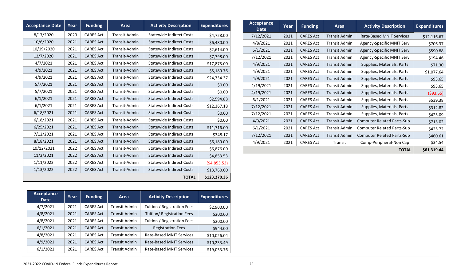| <b>Acceptance Date</b> | Year | <b>Funding</b>   | Area          | <b>Activity Description</b>     | <b>Expenditures</b> | Acceptance<br><b>Date</b> | Year | <b>Funding</b>   | Area                 | <b>Activity Description</b>       | <b>Expenditures</b> |
|------------------------|------|------------------|---------------|---------------------------------|---------------------|---------------------------|------|------------------|----------------------|-----------------------------------|---------------------|
| 8/17/2020              | 2020 | <b>CARES Act</b> | Transit-Admin | <b>Statewide Indirect Costs</b> | \$4,728.00          | 7/12/2021                 | 2021 | <b>CARES Act</b> | <b>Transit Admin</b> | Rate-Based MNIT Services          | \$12,116.67         |
| 10/6/2020              | 2021 | <b>CARES Act</b> | Transit-Admin | <b>Statewide Indirect Costs</b> | \$6,480.00          | 4/8/2021                  | 2021 | <b>CARES Act</b> | <b>Transit Admin</b> | Agency-Specific MNIT Serv         | \$706.37            |
| 10/19/2020             | 2021 | <b>CARES Act</b> | Transit-Admin | Statewide Indirect Costs        | \$2,614.00          | 6/1/2021                  | 2021 | <b>CARES Act</b> | <b>Transit Admin</b> | Agency-Specific MNIT Serv         | \$590.88            |
| 12/7/2020              | 2021 | <b>CARES Act</b> | Transit-Admin | <b>Statewide Indirect Costs</b> | \$7,798.00          | 7/12/2021                 | 2021 | <b>CARES Act</b> | <b>Transit Admin</b> | Agency-Specific MNIT Serv         | \$194.46            |
| 4/7/2021               | 2021 | <b>CARES Act</b> | Transit-Admin | Statewide Indirect Costs        | \$17,875.00         | 4/9/2021                  | 2021 | <b>CARES Act</b> | <b>Transit Admin</b> | Supplies, Materials, Parts        | \$71.30             |
| 4/9/2021               | 2021 | <b>CARES Act</b> | Transit-Admin | <b>Statewide Indirect Costs</b> | \$5,189.76          | 4/9/2021                  | 2021 | <b>CARES Act</b> | <b>Transit Admin</b> | Supplies, Materials, Parts        | \$1,077.64          |
| 4/9/2021               | 2021 | <b>CARES Act</b> | Transit-Admin | <b>Statewide Indirect Costs</b> | \$24,734.37         | 4/9/2021                  | 2021 | <b>CARES Act</b> | <b>Transit Admin</b> | Supplies, Materials, Parts        | \$93.65             |
| 5/7/2021               | 2021 | <b>CARES Act</b> | Transit-Admin | <b>Statewide Indirect Costs</b> | \$0.00              | 4/19/2021                 | 2021 | <b>CARES Act</b> | <b>Transit Admin</b> | Supplies, Materials, Parts        | \$93.65             |
| 5/7/2021               | 2021 | <b>CARES Act</b> | Transit-Admin | Statewide Indirect Costs        | \$0.00              | 4/19/2021                 | 2021 | <b>CARES Act</b> | <b>Transit Admin</b> | Supplies, Materials, Parts        | (593.65)            |
| 6/1/2021               | 2021 | <b>CARES Act</b> | Transit-Admin | <b>Statewide Indirect Costs</b> | \$2,594.88          | 6/1/2021                  | 2021 | <b>CARES Act</b> | <b>Transit Admin</b> | Supplies, Materials, Parts        | \$539.38            |
| 6/1/2021               | 2021 | <b>CARES Act</b> | Transit-Admin | Statewide Indirect Costs        | \$12,367.18         | 7/12/2021                 | 2021 | <b>CARES Act</b> | <b>Transit Admin</b> | Supplies, Materials, Parts        | \$312.82            |
| 6/18/2021              | 2021 | <b>CARES Act</b> | Transit-Admin | <b>Statewide Indirect Costs</b> | \$0.00              | 7/12/2021                 | 2021 | <b>CARES Act</b> | <b>Transit Admin</b> | Supplies, Materials, Parts        | \$425.09            |
| 6/18/2021              | 2021 | <b>CARES Act</b> | Transit-Admin | Statewide Indirect Costs        | \$0.00              | 4/9/2021                  | 2021 | <b>CARES Act</b> | <b>Transit Admin</b> | <b>Computer Related Parts-Sup</b> | \$713.02            |
| 6/25/2021              | 2021 | <b>CARES Act</b> | Transit-Admin | Statewide Indirect Costs        | \$11,716.00         | 6/1/2021                  | 2021 | <b>CARES Act</b> | <b>Transit Admin</b> | <b>Computer Related Parts-Sup</b> | \$425.72            |
| 7/12/2021              | 2021 | <b>CARES Act</b> | Transit-Admin | Statewide Indirect Costs        | \$348.17            | 7/12/2021                 | 2021 | <b>CARES Act</b> | <b>Transit Admin</b> | <b>Computer Related Parts-Sup</b> | \$460.61            |
| 8/18/2021              | 2021 | <b>CARES Act</b> | Transit-Admin | <b>Statewide Indirect Costs</b> | \$6,189.00          | 4/9/2021                  | 2021 | <b>CARES Act</b> | Transit              | Comp-Peripheral-Non Cap           | \$34.54             |
| 10/12/2021             | 2022 | <b>CARES Act</b> | Transit-Admin | Statewide Indirect Costs        | \$6,876.00          |                           |      |                  |                      | <b>TOTAL</b>                      | \$61,319.44         |
| 11/2/2021              | 2022 | <b>CARES Act</b> | Transit-Admin | <b>Statewide Indirect Costs</b> | \$4,853.53          |                           |      |                  |                      |                                   |                     |
| 1/11/2022              | 2022 | <b>CARES Act</b> | Transit-Admin | Statewide Indirect Costs        | (54,853.53)         |                           |      |                  |                      |                                   |                     |
| 1/13/2022              | 2022 | <b>CARES Act</b> | Transit-Admin | <b>Statewide Indirect Costs</b> | \$13,760.00         |                           |      |                  |                      |                                   |                     |
|                        |      |                  |               | <b>TOTAL</b>                    | \$123,270.36        |                           |      |                  |                      |                                   |                     |

| Acceptance<br><b>Date</b> | Year | <b>Funding</b>   | Area                 | <b>Activity Description</b>     | <b>Expenditures</b> |
|---------------------------|------|------------------|----------------------|---------------------------------|---------------------|
| 4/7/2021                  | 2021 | <b>CARES Act</b> | <b>Transit Admin</b> | Tuition / Registration Fees     | \$2,900.00          |
| 4/8/2021                  | 2021 | <b>CARES Act</b> | <b>Transit Admin</b> | Tuition/ Registration Fees      | \$200.00            |
| 4/8/2021                  | 2021 | <b>CARES Act</b> | Transit Admin        | Tuition / Registration Fees     | \$200.00            |
| 6/1/2021                  | 2021 | <b>CARES Act</b> | Transit Admin        | <b>Registration Fees</b>        | \$944.00            |
| 4/8/2021                  | 2021 | <b>CARES Act</b> | Transit Admin        | <b>Rate-Based MNIT Services</b> | \$10,026.04         |
| 4/9/2021                  | 2021 | <b>CARES Act</b> | Transit Admin        | <b>Rate-Based MNIT Services</b> | \$10,233.49         |
| 6/1/2021                  | 2021 | <b>CARES Act</b> | Transit Admin        | <b>Rate-Based MNIT Services</b> | \$19,053.76         |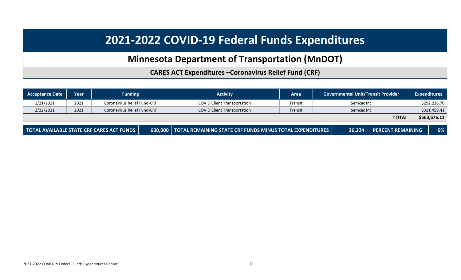## **Minnesota Department of Transportation (MnDOT)**

**CARES ACT Expenditures –Coronavirus Relief Fund (CRF)**

<span id="page-25-0"></span>

| <b>Acceptance Date</b> | Year | <b>Funding</b>                            | <b>Activity</b>                                                    | Area    |            | <b>Governmental Unit/Transit Provider</b> | <b>Expenditures</b> |              |
|------------------------|------|-------------------------------------------|--------------------------------------------------------------------|---------|------------|-------------------------------------------|---------------------|--------------|
| 1/21/2021              | 2021 | Coronavirus Relief Fund-CRF               | <b>COVID Client Transportation</b>                                 | Transit | Semcac Inc |                                           |                     | \$252,216.70 |
| 2/22/2021              | 2021 | <b>Coronavirus Relief Fund-CRF</b>        | <b>COVID Client Transportation</b>                                 | Transit | Semcac Inc |                                           |                     | \$311,459.41 |
|                        |      |                                           |                                                                    |         |            | <b>TOTAL</b>                              |                     | \$563,676.11 |
|                        |      | TOTAL AVAILABLE STATE CRF CARES ACT FUNDS | 600,000   TOTAL REMAINING STATE CRF FUNDS MINUS TOTAL EXPENDITURES |         | 36,324     | <b>PERCENT REMAINING</b>                  |                     | 6%           |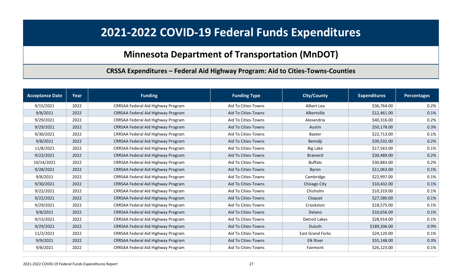### **Minnesota Department of Transportation (MnDOT)**

**CRSSA Expenditures – Federal Aid Highway Program: Aid to Cities-Towns-Counties**

<span id="page-26-0"></span>

| <b>Acceptance Date</b> | <b>Year</b> | <b>Funding</b>                     | <b>Funding Type</b> | <b>City/County</b>      | <b>Expenditures</b> | <b>Percentages</b> |
|------------------------|-------------|------------------------------------|---------------------|-------------------------|---------------------|--------------------|
| 9/15/2021              | 2022        | CRRSAA Federal Aid Highway Program | Aid To Cities-Towns | Albert Lea              | \$36,764.00         | 0.2%               |
| 9/8/2021               | 2022        | CRRSAA Federal Aid Highway Program | Aid To Cities-Towns | Albertville             | \$12,461.00         | 0.1%               |
| 9/29/2021              | 2022        | CRRSAA Federal Aid Highway Program | Aid To Cities-Towns | Alexandria              | \$40,316.00         | 0.2%               |
| 9/29/2021              | 2022        | CRRSAA Federal Aid Highway Program | Aid To Cities-Towns | Austin                  | \$50,178.00         | 0.3%               |
| 9/30/2021              | 2022        | CRRSAA Federal Aid Highway Program | Aid To Cities-Towns | Baxter                  | \$22,713.00         | 0.1%               |
| 9/8/2021               | 2022        | CRRSAA Federal Aid Highway Program | Aid To Cities-Towns | Bemidji                 | \$30,532.00         | 0.2%               |
| 11/8/2021              | 2022        | CRRSAA Federal Aid Highway Program | Aid To Cities-Towns | <b>Big Lake</b>         | \$17,563.00         | 0.1%               |
| 9/22/2021              | 2022        | CRRSAA Federal Aid Highway Program | Aid To Cities-Towns | <b>Brainerd</b>         | \$30,489.00         | 0.2%               |
| 10/14/2021             | 2022        | CRRSAA Federal Aid Highway Program | Aid To Cities-Towns | <b>Buffalo</b>          | \$30,883.00         | 0.2%               |
| 9/28/2021              | 2022        | CRRSAA Federal Aid Highway Program | Aid To Cities-Towns | Byron                   | \$11,063.00         | 0.1%               |
| 9/8/2021               | 2022        | CRRSAA Federal Aid Highway Program | Aid To Cities-Towns | Cambridge               | \$22,997.00         | 0.1%               |
| 9/30/2021              | 2022        | CRRSAA Federal Aid Highway Program | Aid To Cities-Towns | Chisago City            | \$10,432.00         | 0.1%               |
| 9/22/2021              | 2022        | CRRSAA Federal Aid Highway Program | Aid To Cities-Towns | Chisholm                | \$10,319.00         | 0.1%               |
| 9/22/2021              | 2022        | CRRSAA Federal Aid Highway Program | Aid To Cities-Towns | Cloquet                 | \$27,580.00         | 0.1%               |
| 9/29/2021              | 2022        | CRRSAA Federal Aid Highway Program | Aid To Cities-Towns | Crookston               | \$18,575.00         | 0.1%               |
| 9/8/2021               | 2022        | CRRSAA Federal Aid Highway Program | Aid To Cities-Towns | Delano                  | \$10,656.00         | 0.1%               |
| 9/15/2021              | 2022        | CRRSAA Federal Aid Highway Program | Aid To Cities-Towns | Detroit Lakes           | \$28,914.00         | 0.1%               |
| 9/29/2021              | 2022        | CRRSAA Federal Aid Highway Program | Aid To Cities-Towns | Duluth                  | \$189,206.00        | 0.9%               |
| 11/2/2021              | 2022        | CRRSAA Federal Aid Highway Program | Aid To Cities-Towns | <b>East Grand Forks</b> | \$24,120.00         | 0.1%               |
| 9/9/2021               | 2022        | CRRSAA Federal Aid Highway Program | Aid To Cities-Towns | <b>Elk River</b>        | \$55,148.00         | 0.3%               |
| 9/8/2021               | 2022        | CRRSAA Federal Aid Highway Program | Aid To Cities-Towns | Fairmont                | \$26,123.00         | 0.1%               |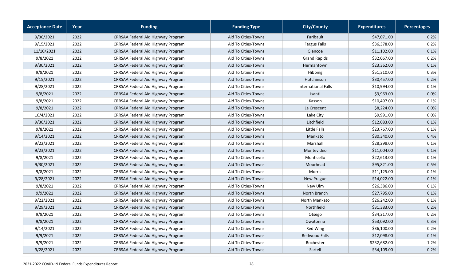| <b>Acceptance Date</b> | Year | <b>Funding</b>                     | <b>Funding Type</b> | <b>City/County</b>         | <b>Expenditures</b> | Percentages |
|------------------------|------|------------------------------------|---------------------|----------------------------|---------------------|-------------|
| 9/30/2021              | 2022 | CRRSAA Federal Aid Highway Program | Aid To Cities-Towns | Faribault                  | \$47,071.00         | 0.2%        |
| 9/15/2021              | 2022 | CRRSAA Federal Aid Highway Program | Aid To Cities-Towns | Fergus Falls               | \$36,378.00         | 0.2%        |
| 11/10/2021             | 2022 | CRRSAA Federal Aid Highway Program | Aid To Cities-Towns | Glencoe                    | \$11,102.00         | 0.1%        |
| 9/8/2021               | 2022 | CRRSAA Federal Aid Highway Program | Aid To Cities-Towns | <b>Grand Rapids</b>        | \$32,067.00         | 0.2%        |
| 9/30/2021              | 2022 | CRRSAA Federal Aid Highway Program | Aid To Cities-Towns | Hermantown                 | \$23,362.00         | 0.1%        |
| 9/8/2021               | 2022 | CRRSAA Federal Aid Highway Program | Aid To Cities-Towns | Hibbing                    | \$51,310.00         | 0.3%        |
| 9/15/2021              | 2022 | CRRSAA Federal Aid Highway Program | Aid To Cities-Towns | Hutchinson                 | \$30,457.00         | 0.2%        |
| 9/28/2021              | 2022 | CRRSAA Federal Aid Highway Program | Aid To Cities-Towns | <b>International Falls</b> | \$10,994.00         | 0.1%        |
| 9/8/2021               | 2022 | CRRSAA Federal Aid Highway Program | Aid To Cities-Towns | Isanti                     | \$9,963.00          | 0.0%        |
| 9/8/2021               | 2022 | CRRSAA Federal Aid Highway Program | Aid To Cities-Towns | Kasson                     | \$10,497.00         | 0.1%        |
| 9/8/2021               | 2022 | CRRSAA Federal Aid Highway Program | Aid To Cities-Towns | La Crescent                | \$8,224.00          | 0.0%        |
| 10/4/2021              | 2022 | CRRSAA Federal Aid Highway Program | Aid To Cities-Towns | Lake City                  | \$9,991.00          | 0.0%        |
| 9/30/2021              | 2022 | CRRSAA Federal Aid Highway Program | Aid To Cities-Towns | Litchfield                 | \$12,083.00         | 0.1%        |
| 9/8/2021               | 2022 | CRRSAA Federal Aid Highway Program | Aid To Cities-Towns | Little Falls               | \$23,767.00         | 0.1%        |
| 9/14/2021              | 2022 | CRRSAA Federal Aid Highway Program | Aid To Cities-Towns | Mankato                    | \$80,340.00         | 0.4%        |
| 9/22/2021              | 2022 | CRRSAA Federal Aid Highway Program | Aid To Cities-Towns | Marshall                   | \$28,298.00         | 0.1%        |
| 9/23/2021              | 2022 | CRRSAA Federal Aid Highway Program | Aid To Cities-Towns | Montevideo                 | \$11,004.00         | 0.1%        |
| 9/8/2021               | 2022 | CRRSAA Federal Aid Highway Program | Aid To Cities-Towns | Monticello                 | \$22,613.00         | 0.1%        |
| 9/30/2021              | 2022 | CRRSAA Federal Aid Highway Program | Aid To Cities-Towns | Moorhead                   | \$95,821.00         | 0.5%        |
| 9/8/2021               | 2022 | CRRSAA Federal Aid Highway Program | Aid To Cities-Towns | Morris                     | \$11,125.00         | 0.1%        |
| 9/28/2021              | 2022 | CRRSAA Federal Aid Highway Program | Aid To Cities-Towns | New Prague                 | \$14,022.00         | 0.1%        |
| 9/8/2021               | 2022 | CRRSAA Federal Aid Highway Program | Aid To Cities-Towns | New Ulm                    | \$26,386.00         | 0.1%        |
| 9/9/2021               | 2022 | CRRSAA Federal Aid Highway Program | Aid To Cities-Towns | North Branch               | \$27,795.00         | 0.1%        |
| 9/22/2021              | 2022 | CRRSAA Federal Aid Highway Program | Aid To Cities-Towns | North Mankato              | \$26,242.00         | 0.1%        |
| 9/29/2021              | 2022 | CRRSAA Federal Aid Highway Program | Aid To Cities-Towns | Northfield                 | \$31,383.00         | 0.2%        |
| 9/8/2021               | 2022 | CRRSAA Federal Aid Highway Program | Aid To Cities-Towns | Otsego                     | \$34,217.00         | 0.2%        |
| 9/8/2021               | 2022 | CRRSAA Federal Aid Highway Program | Aid To Cities-Towns | Owatonna                   | \$53,092.00         | 0.3%        |
| 9/14/2021              | 2022 | CRRSAA Federal Aid Highway Program | Aid To Cities-Towns | Red Wing                   | \$36,100.00         | 0.2%        |
| 9/9/2021               | 2022 | CRRSAA Federal Aid Highway Program | Aid To Cities-Towns | <b>Redwood Falls</b>       | \$12,098.00         | 0.1%        |
| 9/9/2021               | 2022 | CRRSAA Federal Aid Highway Program | Aid To Cities-Towns | Rochester                  | \$232,682.00        | 1.2%        |
| 9/28/2021              | 2022 | CRRSAA Federal Aid Highway Program | Aid To Cities-Towns | Sartell                    | \$34,109.00         | 0.2%        |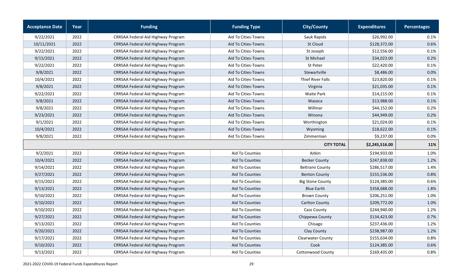| <b>Acceptance Date</b> | Year | <b>Funding</b>                     | <b>Funding Type</b>    | <b>City/County</b>       | <b>Expenditures</b> | <b>Percentages</b> |
|------------------------|------|------------------------------------|------------------------|--------------------------|---------------------|--------------------|
| 9/22/2021              | 2022 | CRRSAA Federal Aid Highway Program | Aid To Cities-Towns    | Sauk Rapids              | \$26,992.00         | 0.1%               |
| 10/11/2021             | 2022 | CRRSAA Federal Aid Highway Program | Aid To Cities-Towns    | <b>St Cloud</b>          | \$128,372.00        | 0.6%               |
| 9/22/2021              | 2022 | CRRSAA Federal Aid Highway Program | Aid To Cities-Towns    | St Joseph                | \$12,556.00         | 0.1%               |
| 9/15/2021              | 2022 | CRRSAA Federal Aid Highway Program | Aid To Cities-Towns    | St Michael               | \$34,023.00         | 0.2%               |
| 9/22/2021              | 2022 | CRRSAA Federal Aid Highway Program | Aid To Cities-Towns    | St Peter                 | \$22,420.00         | 0.1%               |
| 9/8/2021               | 2022 | CRRSAA Federal Aid Highway Program | Aid To Cities-Towns    | Stewartville             | \$8,486.00          | 0.0%               |
| 10/4/2021              | 2022 | CRRSAA Federal Aid Highway Program | Aid To Cities-Towns    | Thief River Falls        | \$23,820.00         | 0.1%               |
| 9/8/2021               | 2022 | CRRSAA Federal Aid Highway Program | Aid To Cities-Towns    | Virginia                 | \$21,035.00         | 0.1%               |
| 9/22/2021              | 2022 | CRRSAA Federal Aid Highway Program | Aid To Cities-Towns    | <b>Waite Park</b>        | \$14,215.00         | 0.1%               |
| 9/8/2021               | 2022 | CRRSAA Federal Aid Highway Program | Aid To Cities-Towns    | Waseca                   | \$13,988.00         | 0.1%               |
| 9/8/2021               | 2022 | CRRSAA Federal Aid Highway Program | Aid To Cities-Towns    | Willmar                  | \$44,152.00         | 0.2%               |
| 9/23/2021              | 2022 | CRRSAA Federal Aid Highway Program | Aid To Cities-Towns    | Winona                   | \$44,949.00         | 0.2%               |
| 9/1/2021               | 2022 | CRRSAA Federal Aid Highway Program | Aid To Cities-Towns    | Worthington              | \$21,024.00         | 0.1%               |
| 10/4/2021              | 2022 | CRRSAA Federal Aid Highway Program | Aid To Cities-Towns    | Wyoming                  | \$18,622.00         | 0.1%               |
| 9/8/2021               | 2022 | CRRSAA Federal Aid Highway Program | Aid To Cities-Towns    | Zimmerman                | \$9,237.00          | 0.0%               |
|                        |      |                                    |                        | <b>CITY TOTAL</b>        | \$2,245,516.00      | 11%                |
| 9/2/2021               | 2022 | CRRSAA Federal Aid Highway Program | Aid To Counties        | Aitkin                   | \$194,933.00        | 1.0%               |
| 10/4/2021              | 2022 | CRRSAA Federal Aid Highway Program | <b>Aid To Counties</b> | <b>Becker County</b>     | \$247,838.00        | 1.2%               |
| 9/14/2021              | 2022 | CRRSAA Federal Aid Highway Program | Aid To Counties        | <b>Beltrami County</b>   | \$286,517.00        | 1.4%               |
| 9/27/2021              | 2022 | CRRSAA Federal Aid Highway Program | Aid To Counties        | <b>Benton County</b>     | \$155,536.00        | 0.8%               |
| 9/15/2021              | 2022 | CRRSAA Federal Aid Highway Program | Aid To Counties        | <b>Big Stone County</b>  | \$124,385.00        | 0.6%               |
| 9/13/2021              | 2022 | CRRSAA Federal Aid Highway Program | <b>Aid To Counties</b> | <b>Blue Earth</b>        | \$358,688.00        | 1.8%               |
| 9/10/2021              | 2022 | CRRSAA Federal Aid Highway Program | Aid To Counties        | <b>Brown County</b>      | \$206,251.00        | 1.0%               |
| 9/10/2021              | 2022 | CRRSAA Federal Aid Highway Program | Aid To Counties        | Carlton County           | \$209,772.00        | 1.0%               |
| 9/10/2021              | 2022 | CRRSAA Federal Aid Highway Program | Aid To Counties        | Cass County              | \$244,940.00        | 1.2%               |
| 9/27/2021              | 2022 | CRRSAA Federal Aid Highway Program | Aid To Counties        | Chippewa County          | \$134,423.00        | 0.7%               |
| 9/13/2021              | 2022 | CRRSAA Federal Aid Highway Program | <b>Aid To Counties</b> | Chisago                  | \$237,436.00        | 1.2%               |
| 9/20/2021              | 2022 | CRRSAA Federal Aid Highway Program | Aid To Counties        | Clay County              | \$238,987.00        | 1.2%               |
| 9/17/2021              | 2022 | CRRSAA Federal Aid Highway Program | Aid To Counties        | <b>Clearwater County</b> | \$155,634.00        | 0.8%               |
| 9/10/2021              | 2022 | CRRSAA Federal Aid Highway Program | Aid To Counties        | Cook                     | \$124,385.00        | 0.6%               |
| 9/13/2021              | 2022 | CRRSAA Federal Aid Highway Program | Aid To Counties        | Cottonwood County        | \$169,435.00        | 0.8%               |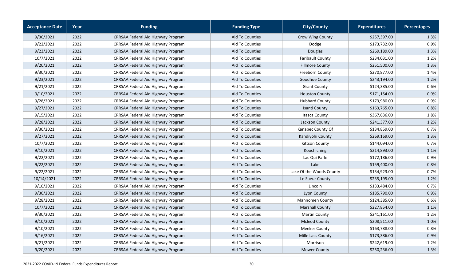| <b>Acceptance Date</b> | Year | <b>Funding</b>                     | <b>Funding Type</b>    | <b>City/County</b>       | <b>Expenditures</b> | <b>Percentages</b> |
|------------------------|------|------------------------------------|------------------------|--------------------------|---------------------|--------------------|
| 9/30/2021              | 2022 | CRRSAA Federal Aid Highway Program | Aid To Counties        | Crow Wing County         | \$257,397.00        | 1.3%               |
| 9/22/2021              | 2022 | CRRSAA Federal Aid Highway Program | Aid To Counties        | Dodge                    | \$173,732.00        | 0.9%               |
| 9/23/2021              | 2022 | CRRSAA Federal Aid Highway Program | Aid To Counties        | Douglas                  | \$269,189.00        | 1.3%               |
| 10/7/2021              | 2022 | CRRSAA Federal Aid Highway Program | Aid To Counties        | <b>Faribault County</b>  | \$234,031.00        | 1.2%               |
| 9/20/2021              | 2022 | CRRSAA Federal Aid Highway Program | Aid To Counties        | <b>Fillmore County</b>   | \$251,500.00        | 1.3%               |
| 9/30/2021              | 2022 | CRRSAA Federal Aid Highway Program | Aid To Counties        | Freeborn County          | \$270,877.00        | 1.4%               |
| 9/23/2021              | 2022 | CRRSAA Federal Aid Highway Program | <b>Aid To Counties</b> | Goodhue County           | \$243,194.00        | 1.2%               |
| 9/21/2021              | 2022 | CRRSAA Federal Aid Highway Program | Aid To Counties        | <b>Grant County</b>      | \$124,385.00        | 0.6%               |
| 9/10/2021              | 2022 | CRRSAA Federal Aid Highway Program | Aid To Counties        | <b>Houston County</b>    | \$171,154.00        | 0.9%               |
| 9/28/2021              | 2022 | CRRSAA Federal Aid Highway Program | Aid To Counties        | <b>Hubbard County</b>    | \$173,980.00        | 0.9%               |
| 9/27/2021              | 2022 | CRRSAA Federal Aid Highway Program | Aid To Counties        | Isanti County            | \$163,765.00        | 0.8%               |
| 9/15/2021              | 2022 | CRRSAA Federal Aid Highway Program | <b>Aid To Counties</b> | <b>Itasca County</b>     | \$367,636.00        | 1.8%               |
| 9/28/2021              | 2022 | CRRSAA Federal Aid Highway Program | Aid To Counties        | Jackson County           | \$241,377.00        | 1.2%               |
| 9/30/2021              | 2022 | CRRSAA Federal Aid Highway Program | Aid To Counties        | Kanabec County Of        | \$134,859.00        | 0.7%               |
| 9/27/2021              | 2022 | CRRSAA Federal Aid Highway Program | Aid To Counties        | Kandiyohi County         | \$269,169.00        | 1.3%               |
| 10/7/2021              | 2022 | CRRSAA Federal Aid Highway Program | Aid To Counties        | <b>Kittson County</b>    | \$144,094.00        | 0.7%               |
| 9/10/2021              | 2022 | CRRSAA Federal Aid Highway Program | Aid To Counties        | Koochiching              | \$214,893.00        | 1.1%               |
| 9/22/2021              | 2022 | CRRSAA Federal Aid Highway Program | Aid To Counties        | Lac Qui Parle            | \$172,186.00        | 0.9%               |
| 9/22/2021              | 2022 | CRRSAA Federal Aid Highway Program | Aid To Counties        | Lake                     | \$159,400.00        | 0.8%               |
| 9/22/2021              | 2022 | CRRSAA Federal Aid Highway Program | Aid To Counties        | Lake Of the Woods County | \$134,923.00        | 0.7%               |
| 10/14/2021             | 2022 | CRRSAA Federal Aid Highway Program | Aid To Counties        | Le Sueur County          | \$235,195.00        | 1.2%               |
| 9/10/2021              | 2022 | CRRSAA Federal Aid Highway Program | Aid To Counties        | Lincoln                  | \$133,484.00        | 0.7%               |
| 9/30/2021              | 2022 | CRRSAA Federal Aid Highway Program | Aid To Counties        | Lyon County              | \$185,790.00        | 0.9%               |
| 9/28/2021              | 2022 | CRRSAA Federal Aid Highway Program | Aid To Counties        | Mahnomen County          | \$124,385.00        | 0.6%               |
| 10/7/2021              | 2022 | CRRSAA Federal Aid Highway Program | Aid To Counties        | <b>Marshall County</b>   | \$227,854.00        | 1.1%               |
| 9/30/2021              | 2022 | CRRSAA Federal Aid Highway Program | Aid To Counties        | <b>Martin County</b>     | \$241,161.00        | 1.2%               |
| 9/10/2021              | 2022 | CRRSAA Federal Aid Highway Program | <b>Aid To Counties</b> | <b>Mcleod County</b>     | \$208,511.00        | 1.0%               |
| 9/10/2021              | 2022 | CRRSAA Federal Aid Highway Program | <b>Aid To Counties</b> | Meeker County            | \$163,788.00        | 0.8%               |
| 9/16/2021              | 2022 | CRRSAA Federal Aid Highway Program | Aid To Counties        | Mille Lacs County        | \$173,386.00        | 0.9%               |
| 9/21/2021              | 2022 | CRRSAA Federal Aid Highway Program | Aid To Counties        | Morrison                 | \$242,619.00        | 1.2%               |
| 9/20/2021              | 2022 | CRRSAA Federal Aid Highway Program | Aid To Counties        | <b>Mower County</b>      | \$250,236.00        | 1.3%               |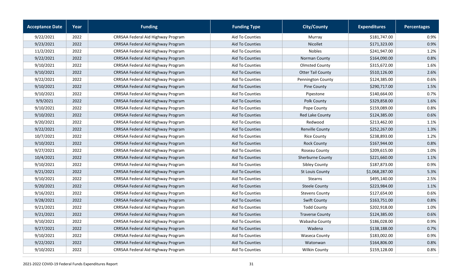| <b>Acceptance Date</b> | Year | <b>Funding</b>                     | <b>Funding Type</b>    | <b>City/County</b>       | <b>Expenditures</b> | Percentages |
|------------------------|------|------------------------------------|------------------------|--------------------------|---------------------|-------------|
| 9/22/2021              | 2022 | CRRSAA Federal Aid Highway Program | Aid To Counties        | Murray                   | \$181,747.00        | 0.9%        |
| 9/23/2021              | 2022 | CRRSAA Federal Aid Highway Program | Aid To Counties        | <b>Nicollet</b>          | \$171,323.00        | 0.9%        |
| 11/2/2021              | 2022 | CRRSAA Federal Aid Highway Program | Aid To Counties        | <b>Nobles</b>            | \$241,947.00        | 1.2%        |
| 9/22/2021              | 2022 | CRRSAA Federal Aid Highway Program | Aid To Counties        | Norman County            | \$164,090.00        | 0.8%        |
| 9/10/2021              | 2022 | CRRSAA Federal Aid Highway Program | Aid To Counties        | <b>Olmsted County</b>    | \$315,672.00        | 1.6%        |
| 9/10/2021              | 2022 | CRRSAA Federal Aid Highway Program | Aid To Counties        | <b>Otter Tail County</b> | \$510,126.00        | 2.6%        |
| 9/22/2021              | 2022 | CRRSAA Federal Aid Highway Program | Aid To Counties        | Pennington County        | \$124,385.00        | 0.6%        |
| 9/10/2021              | 2022 | CRRSAA Federal Aid Highway Program | Aid To Counties        | Pine County              | \$290,717.00        | 1.5%        |
| 9/10/2021              | 2022 | CRRSAA Federal Aid Highway Program | Aid To Counties        | Pipestone                | \$140,664.00        | 0.7%        |
| 9/9/2021               | 2022 | CRRSAA Federal Aid Highway Program | Aid To Counties        | Polk County              | \$329,858.00        | 1.6%        |
| 9/10/2021              | 2022 | CRRSAA Federal Aid Highway Program | Aid To Counties        | Pope County              | \$159,089.00        | 0.8%        |
| 9/10/2021              | 2022 | CRRSAA Federal Aid Highway Program | Aid To Counties        | Red Lake County          | \$124,385.00        | 0.6%        |
| 9/20/2021              | 2022 | CRRSAA Federal Aid Highway Program | Aid To Counties        | Redwood                  | \$213,462.00        | 1.1%        |
| 9/22/2021              | 2022 | CRRSAA Federal Aid Highway Program | Aid To Counties        | Renville County          | \$252,267.00        | 1.3%        |
| 10/7/2021              | 2022 | CRRSAA Federal Aid Highway Program | Aid To Counties        | <b>Rice County</b>       | \$238,893.00        | 1.2%        |
| 9/10/2021              | 2022 | CRRSAA Federal Aid Highway Program | Aid To Counties        | <b>Rock County</b>       | \$167,944.00        | 0.8%        |
| 9/27/2021              | 2022 | CRRSAA Federal Aid Highway Program | Aid To Counties        | Roseau County            | \$209,615.00        | 1.0%        |
| 10/4/2021              | 2022 | CRRSAA Federal Aid Highway Program | Aid To Counties        | <b>Sherburne County</b>  | \$221,660.00        | 1.1%        |
| 9/10/2021              | 2022 | CRRSAA Federal Aid Highway Program | Aid To Counties        | Sibley County            | \$187,873.00        | 0.9%        |
| 9/21/2021              | 2022 | CRRSAA Federal Aid Highway Program | Aid To Counties        | St Louis County          | \$1,068,287.00      | 5.3%        |
| 9/10/2021              | 2022 | CRRSAA Federal Aid Highway Program | Aid To Counties        | <b>Stearns</b>           | \$495,140.00        | 2.5%        |
| 9/20/2021              | 2022 | CRRSAA Federal Aid Highway Program | Aid To Counties        | <b>Steele County</b>     | \$223,984.00        | 1.1%        |
| 9/16/2021              | 2022 | CRRSAA Federal Aid Highway Program | Aid To Counties        | <b>Stevens County</b>    | \$127,654.00        | 0.6%        |
| 9/28/2021              | 2022 | CRRSAA Federal Aid Highway Program | Aid To Counties        | <b>Swift County</b>      | \$163,751.00        | 0.8%        |
| 9/21/2021              | 2022 | CRRSAA Federal Aid Highway Program | Aid To Counties        | <b>Todd County</b>       | \$202,918.00        | 1.0%        |
| 9/21/2021              | 2022 | CRRSAA Federal Aid Highway Program | Aid To Counties        | <b>Traverse County</b>   | \$124,385.00        | 0.6%        |
| 9/10/2021              | 2022 | CRRSAA Federal Aid Highway Program | Aid To Counties        | Wabasha County           | \$186,028.00        | 0.9%        |
| 9/27/2021              | 2022 | CRRSAA Federal Aid Highway Program | <b>Aid To Counties</b> | Wadena                   | \$138,188.00        | 0.7%        |
| 9/10/2021              | 2022 | CRRSAA Federal Aid Highway Program | Aid To Counties        | <b>Waseca County</b>     | \$183,002.00        | 0.9%        |
| 9/22/2021              | 2022 | CRRSAA Federal Aid Highway Program | Aid To Counties        | Watonwan                 | \$164,806.00        | 0.8%        |
| 9/10/2021              | 2022 | CRRSAA Federal Aid Highway Program | Aid To Counties        | <b>Wilkin County</b>     | \$159,128.00        | 0.8%        |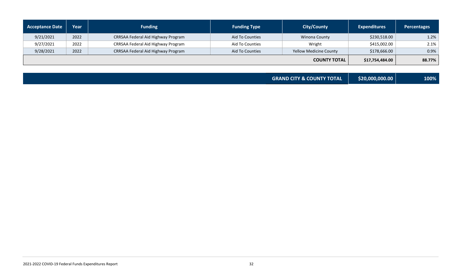| <b>Acceptance Date</b> | Year | <b>Funding</b>                     | <b>Funding Type</b>    | <b>City/County</b>     | <b>Expenditures</b> | Percentages |
|------------------------|------|------------------------------------|------------------------|------------------------|---------------------|-------------|
| 9/21/2021              | 2022 | CRRSAA Federal Aid Highway Program | <b>Aid To Counties</b> | Winona County          | \$230,518.00        | 1.2%        |
| 9/27/2021              | 2022 | CRRSAA Federal Aid Highway Program | Aid To Counties        | Wright                 | \$415,002.00        | 2.1%        |
| 9/28/2021              | 2022 | CRRSAA Federal Aid Highway Program | Aid To Counties        | Yellow Medicine County | \$178,666.00        | 0.9%        |
|                        |      |                                    |                        | <b>COUNTY TOTAL</b>    | \$17,754,484.00     | 88.77%      |

| <b>GRAND CITY &amp; COUNTY TOTAL</b> | \$20,000,000.00 | 100% |
|--------------------------------------|-----------------|------|
|                                      |                 |      |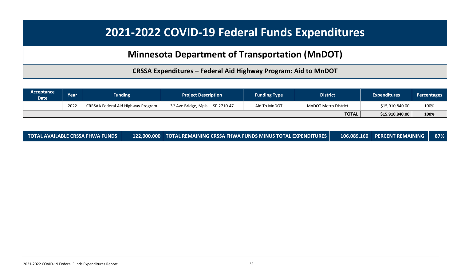## **Minnesota Department of Transportation (MnDOT)**

**CRSSA Expenditures – Federal Aid Highway Program: Aid to MnDOT**

| Acceptance<br><b>Date</b> | Year | <b>Funding</b>                     | <b>Project Description</b>           | <b>Funding Type</b> | <b>District</b>             | <b>Expenditures</b> | <b>Percentages</b> |
|---------------------------|------|------------------------------------|--------------------------------------|---------------------|-----------------------------|---------------------|--------------------|
|                           | 2022 | CRRSAA Federal Aid Highway Program | $3rd$ Ave Bridge, Mpls. - SP 2710-47 | Aid To MnDOT        | <b>MnDOT Metro District</b> | \$15,910,840.00     | 100%               |
|                           |      |                                    |                                      |                     | <b>TOTAL</b>                | \$15,910,840.00     | 100%               |

<span id="page-32-0"></span>

| <b>TOTAL AVAILABLE CRSSA FHWA FUNDS</b> |  | 122,000,000   TOTAL REMAINING CRSSA FHWA FUNDS MINUS TOTAL EXPENDITURES |  | 106,089,160   PERCENT REMAINING   87% |  |
|-----------------------------------------|--|-------------------------------------------------------------------------|--|---------------------------------------|--|
|-----------------------------------------|--|-------------------------------------------------------------------------|--|---------------------------------------|--|